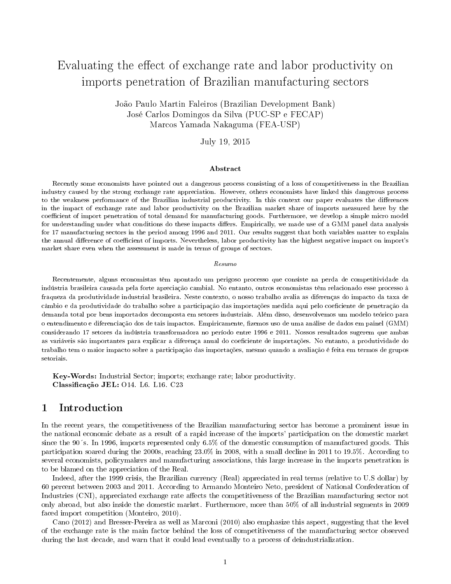# Evaluating the effect of exchange rate and labor productivity on imports penetration of Brazilian manufacturing sectors

João Paulo Martin Faleiros (Brazilian Development Bank) José Carlos Domingos da Silva (PUC-SP e FECAP) Marcos Yamada Nakaguma (FEA-USP)

July 19, 2015

#### Abstract

Recently some economists have pointed out a dangerous process consisting of a loss of competitiveness in the Brazilian industry caused by the strong exchange rate appreciation. However, others economists have linked this dangerous process to the weakness performance of the Brazilian industrial productivity. In this context our paper evaluates the differences in the impact of exchange rate and labor productivity on the Brazilian market share of imports measured here by the coefficient of import penetration of total demand for manufacturing goods. Furthermore, we develop a simple micro model for understanding under what conditions do these impacts differs. Empirically, we made use of a GMM panel data analysis for 17 manufacturing sectors in the period among 1996 and 2011. Our results suggest that both variables matter to explain the annual difference of coefficient of imports. Nevertheless, labor productivity has the highest negative impact on import's market share even when the assessment is made in terms of groups of sectors.

Resumo

Recentemente, alguns economistas têm apontado um perigoso processo que consiste na perda de competitividade da indústria brasileira causada pela forte apreciação cambial. No entanto, outros economistas têm relacionado esse processo à fraqueza da produtividade industrial brasileira. Neste contexto, o nosso trabalho avalia as diferenças do impacto da taxa de câmbio e da produtividade do trabalho sobre a participação das importações medida aqui pelo coeficiente de penetração da demanda total por bens importados decomposta em setores industriais. Além disso, desenvolvemos um modelo teórico para o entendimento e diferenciação dos de tais impactos. Empiricamente, fizemos uso de uma análise de dados em painel (GMM) considerando 17 setores da indústria transformadora no período entre 1996 e 2011. Nossos resultados sugerem que ambas as variáveis são importantes para explicar a diferença anual do coeficiente de importações. No entanto, a produtividade do trabalho tem o maior impacto sobre a participação das importações, mesmo quando a avaliação é feita em termos de grupos setoriais.

Key-Words: Industrial Sector; imports; exchange rate; labor productivity. Classificação JEL: 014. L6. L16. C23

#### 1 Introduction

In the recent years, the competitiveness of the Brazilian manufacturing sector has become a prominent issue in the national economic debate as a result of a rapid increase of the imports' participation on the domestic market since the 90´s. In 1996, imports represented only 6.5% of the domestic consumption of manufactured goods. This participation soared during the 2000s, reaching 23.0% in 2008, with a small decline in 2011 to 19.5%. According to several economists, policymakers and manufacturing associations, this large increase in the imports penetration is to be blamed on the appreciation of the Real.

Indeed, after the 1999 crisis, the Brazilian currency (Real) appreciated in real terms (relative to U.S dollar) by 60 percent between 2003 and 2011. According to Armando Monteiro Neto, president of National Confederation of Industries (CNI), appreciated exchange rate affects the competitiveness of the Brazilian manufacturing sector not only abroad, but also inside the domestic market. Furthermore, more than 50% of all industrial segments in 2009 faced import competition (Monteiro, 2010).

Cano (2012) and Bresser-Pereira as well as Marconi (2010) also emphasize this aspect, suggesting that the level of the exchange rate is the main factor behind the loss of competitiveness of the manufacturing sector observed during the last decade, and warn that it could lead eventually to a process of deindustrialization.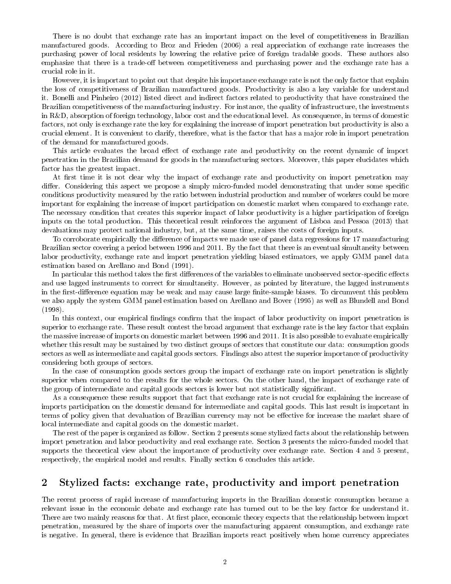There is no doubt that exchange rate has an important impact on the level of competitiveness in Brazilian manufactured goods. According to Broz and Frieden (2006) a real appreciation of exchange rate increases the purchasing power of local residents by lowering the relative price of foreign tradable goods. These authors also emphasize that there is a trade-off between competitiveness and purchasing power and the exchange rate has a crucial role in it.

However, it is important to point out that despite his importance exchange rate is not the only factor that explain the loss of competitiveness of Brazilian manufactured goods. Productivity is also a key variable for understand it. Bonelli and Pinheiro (2012) listed direct and indirect factors related to productivity that have constrained the Brazilian competitiveness of the manufacturing industry. For instance, the quality of infrastructure, the investments in R&D, absorption of foreign technology, labor cost and the educational level. As consequence, in terms of domestic factors, not only is exchange rate the key for explaining the increase of import penetration but productivity is also a crucial element. It is convenient to clarify, therefore, what is the factor that has a major role in import penetration of the demand for manufactured goods.

This article evaluates the broad effect of exchange rate and productivity on the recent dynamic of import penetration in the Brazilian demand for goods in the manufacturing sectors. Moreover, this paper elucidates which factor has the greatest impact.

At first time it is not clear why the impact of exchange rate and productivity on import penetration may differ. Considering this aspect we propose a simply micro-funded model demonstrating that under some specific conditions productivity measured by the ratio between industrial production and number of workers could be more important for explaining the increase of import participation on domestic market when compared to exchange rate. The necessary condition that creates this superior impact of labor productivity is a higher participation of foreign inputs on the total production. This theoretical result reinforces the argument of Lisboa and Pessoa (2013) that devaluations may protect national industry, but, at the same time, raises the costs of foreign inputs.

To corroborate empirically the difference of impacts we made use of panel data regressions for 17 manufacturing Brazilian sector covering a period between 1996 and 2011. By the fact that there is an eventual simultaneity between labor productivity, exchange rate and import penetration yielding biased estimators, we apply GMM panel data estimation based on Arellano and Bond (1991).

In particular this method takes the first differences of the variables to eliminate unobserved sector-specific effects and use lagged instruments to correct for simultaneity. However, as pointed by literature, the lagged instruments in the first-difference equation may be weak and may cause large finite-sample biases. To circumvent this problem we also apply the system GMM panel estimation based on Arellano and Bover (1995) as well as Blundell and Bond (1998).

In this context, our empirical findings confirm that the impact of labor productivity on import penetration is superior to exchange rate. These result contest the broad argument that exchange rate is the key factor that explain the massive increase of imports on domestic market between 1996 and 2011. It is also possible to evaluate empirically whether this result may be sustained by two distinct groups of sectors that constitute our data: consumption goods sectors as well as intermediate and capital goods sectors. Findings also attest the superior importance of productivity considering both groups of sectors.

In the case of consumption goods sectors group the impact of exchange rate on import penetration is slightly superior when compared to the results for the whole sectors. On the other hand, the impact of exchange rate of the group of intermediate and capital goods sectors is lower but not statistically signicant.

As a consequence these results support that fact that exchange rate is not crucial for explaining the increase of imports participation on the domestic demand for intermediate and capital goods. This last result is important in terms of policy given that devaluation of Brazilian currency may not be effective for increase the market share of local intermediate and capital goods on the domestic market.

The rest of the paper is organized as follow. Section 2 presents some stylized facts about the relationship between import penetration and labor productivity and real exchange rate. Section 3 presents the micro-funded model that supports the theoretical view about the importance of productivity over exchange rate. Section 4 and 5 present, respectively, the empirical model and results. Finally section 6 concludes this article.

#### 2 Stylized facts: exchange rate, productivity and import penetration

The recent process of rapid increase of manufacturing imports in the Brazilian domestic consumption became a relevant issue in the economic debate and exchange rate has turned out to be the key factor for understand it. There are two mainly reasons for that. At first place, economic theory expects that the relationship between import penetration, measured by the share of imports over the manufacturing apparent consumption, and exchange rate is negative. In general, there is evidence that Brazilian imports react positively when home currency appreciates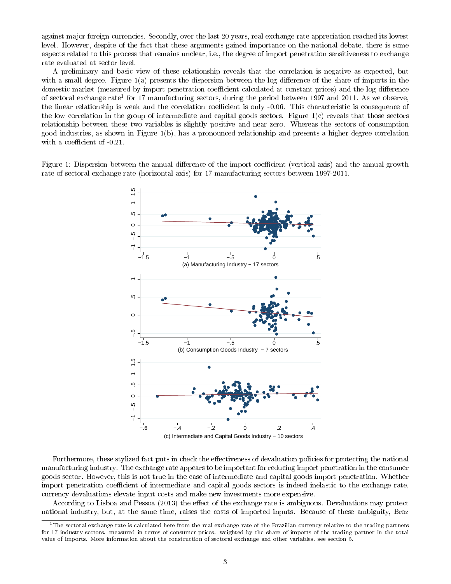against major foreign currencies. Secondly, over the last 20 years, real exchange rate appreciation reached its lowest level. However, despite of the fact that these arguments gained importance on the national debate, there is some aspects related to this process that remains unclear, i.e., the degree of import penetration sensitiveness to exchange rate evaluated at sector level.

A preliminary and basic view of these relationship reveals that the correlation is negative as expected, but with a small degree. Figure  $1(a)$  presents the dispersion between the log difference of the share of imports in the domestic market (measured by import penetration coefficient calculated at constant prices) and the log difference of sectoral exchange rate<sup>1</sup> for 17 manufacturing sectors, during the period between 1997 and 2011. As we observe, the linear relationship is weak and the correlation coefficient is only -0.06. This characteristic is consequence of the low correlation in the group of intermediate and capital goods sectors. Figure 1(c) reveals that those sectors relationship between these two variables is slightly positive and near zero. Whereas the sectors of consumption good industries, as shown in Figure 1(b), has a pronounced relationship and presents a higher degree correlation with a coefficient of  $-0.21$ .

Figure 1: Dispersion between the annual difference of the import coefficient (vertical axis) and the annual growth rate of sectoral exchange rate (horizontal axis) for 17 manufacturing sectors between 1997-2011.



Furthermore, these stylized fact puts in check the effectiveness of devaluation policies for protecting the national manufacturing industry. The exchange rate appears to be important for reducing import penetration in the consumer goods sector. However, this is not true in the case of intermediate and capital goods import penetration. Whether import penetration coefficient of intermediate and capital goods sectors is indeed inelastic to the exchange rate, currency devaluations elevate input costs and make new investments more expensive.

According to Lisboa and Pessoa (2013) the effect of the exchange rate is ambiguous. Devaluations may protect national industry, but, at the same time, raises the costs of imported inputs. Because of these ambiguity, Broz

<sup>&</sup>lt;sup>1</sup>The sectoral exchange rate is calculated here from the real exchange rate of the Brazilian currency relative to the trading partners for 17 industry sectors. measured in terms of consumer prices. weighted by the share of imports of the trading partner in the total value of imports. More information about the construction of sectoral exchange and other variables. see section 5.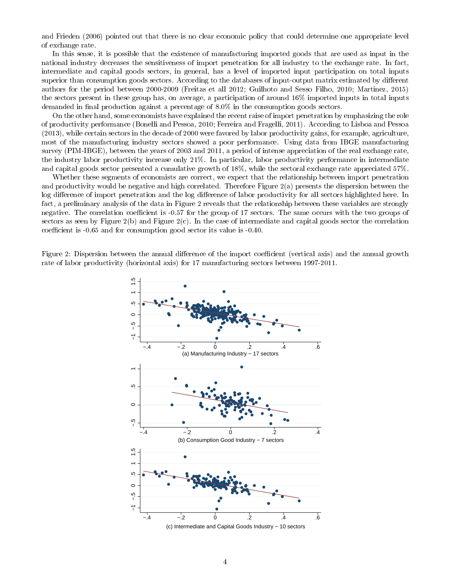and Frieden (2006) pointed out that there is no clear economic policy that could determine one appropriate level of exchange rate.

In this sense, it is possible that the existence of manufacturing imported goods that are used as input in the national industry decreases the sensitiveness of import penetration for all industry to the exchange rate. In fact, intermediate and capital goods sectors, in general, has a level of imported input participation on total inputs superior than consumption goods sectors. According to the databases of input-output matrix estimated by different authors for the period between 2000-2009 (Freitas et all 2012; Guilhoto and Sesso Filho, 2010; Martinez, 2015) the sectors present in these group has, on average, a participation of around 16% imported inputs in total inputs demanded in final production against a percentage of  $8.0\%$  in the consumption goods sectors.

On the other hand, some economists have explained the recent raise of import penetration by emphasizing the role of productivity performance (Bonelli and Pessoa, 2010; Ferreira and Fragelli, 2011). According to Lisboa and Pessoa (2013), while certain sectors in the decade of 2000 were favored by labor productivity gains, for example, agriculture, most of the manufacturing industry sectors showed a poor performance. Using data from IBGE manufacturing survey (PIM-IBGE), between the years of 2003 and 2011, a period of intense appreciation of the real exchange rate, the industry labor productivity increase only 21%. In particular, labor productivity performance in intermediate and capital goods sector presented a cumulative growth of 18%, while the sectoral exchange rate appreciated 57%.

Whether these segments of economists are correct, we expect that the relationship between import penetration and productivity would be negative and high correlated. Therefore Figure 2(a) presents the dispersion between the log difference of import penetration and the log difference of labor productivity for all sectors highlighted here. In fact, a preliminary analysis of the data in Figure 2 reveals that the relationship between these variables are strongly negative. The correlation coefficient is -0.57 for the group of 17 sectors. The same occurs with the two groups of sectors as seen by Figure 2(b) and Figure 2(c). In the case of intermediate and capital goods sector the correlation coefficient is -0.65 and for consumption good sector its value is -0.40.

Figure 2: Dispersion between the annual difference of the import coefficient (vertical axis) and the annual growth rate of labor productivity (horizontal axis) for 17 manufacturing sectors between 1997-2011.

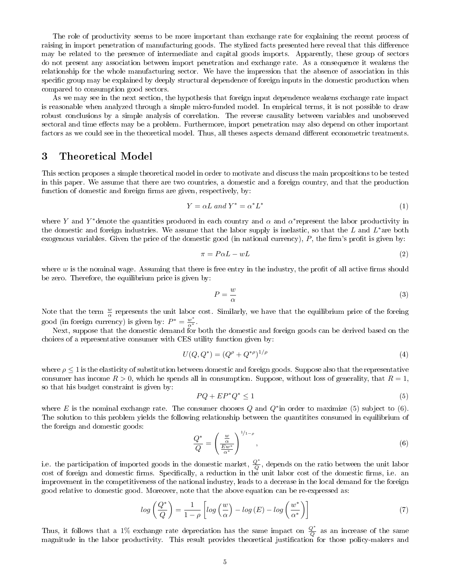The role of productivity seems to be more important than exchange rate for explaining the recent process of raising in import penetration of manufacturing goods. The stylized facts presented here reveal that this difference may be related to the presence of intermediate and capital goods imports. Apparently, these group of sectors do not present any association between import penetration and exchange rate. As a consequence it weakens the relationship for the whole manufacturing sector. We have the impression that the absence of association in this specific group may be explained by deeply structural dependence of foreign inputs in the domestic production when compared to consumption good sectors.

As we may see in the next section, the hypothesis that foreign input dependence weakens exchange rate impact is reasonable when analyzed through a simple micro-funded model. In empirical terms, it is not possible to draw robust conclusions by a simple analysis of correlation. The reverse causality between variables and unobserved sectoral and time effects may be a problem. Furthermore, import penetration may also depend on other important factors as we could see in the theoretical model. Thus, all theses aspects demand different econometric treatments.

#### 3 Theoretical Model

This section proposes a simple theoretical model in order to motivate and discuss the main propositions to be tested in this paper. We assume that there are two countries, a domestic and a foreign country, and that the production function of domestic and foreign firms are given, respectively, by:

$$
Y = \alpha L \text{ and } Y^* = \alpha^* L^* \tag{1}
$$

where Y and Y\*denote the quantities produced in each country and  $\alpha$  and  $\alpha^*$ represent the labor productivity in the domestic and foreign industries. We assume that the labor supply is inelastic, so that the L and  $L^*$ are both exogenous variables. Given the price of the domestic good (in national currency),  $P$ , the firm's profit is given by:

$$
\pi = P\alpha L - wL \tag{2}
$$

where  $w$  is the nominal wage. Assuming that there is free entry in the industry, the profit of all active firms should be zero. Therefore, the equilibrium price is given by:

$$
P = \frac{w}{\alpha} \tag{3}
$$

Note that the term  $\frac{w}{\alpha}$  represents the unit labor cost. Similarly, we have that the equilibrium price of the foreing good (in foreign currency) is given by:  $P^* = \frac{w^*}{\alpha^*}$ .

Next, suppose that the domestic demand for both the domestic and foreign goods can be derived based on the choices of a representative consumer with CES utility function given by:

$$
U(Q, Q^*) = (Q^{\rho} + Q^{*\rho})^{1/\rho} \tag{4}
$$

where  $\rho \leq 1$  is the elasticity of substitution between domestic and foreign goods. Suppose also that the representative consumer has income  $R > 0$ , which he spends all in consumption. Suppose, without loss of generality, that  $R = 1$ , so that his budget constraint is given by:

$$
PQ + EP^*Q^* \le 1\tag{5}
$$

where E is the nominal exchange rate. The consumer chooses Q and  $Q^*$ in order to maximize (5) subject to (6). The solution to this problem yields the following relationship between the quantitites consumed in equilibrium of the foreign and domestic goods:

$$
\frac{Q^*}{Q} = \left(\frac{\frac{w}{\alpha}}{\frac{Ew^*}{\alpha^*}}\right)^{1/1-\rho},\tag{6}
$$

i.e. the participation of imported goods in the domestic market,  $\frac{Q^*}{Q}$ , depends on the ratio between the unit labor cost of foreign and domestic firms. Specifically, a reduction in the unit labor cost of the domestic firms, i.e. an improvement in the competitiveness of the national industry, leads to a decrease in the local demand for the foreign good relative to domestic good. Moreover, note that the above equation can be re-expressed as:

$$
log\left(\frac{Q^*}{Q}\right) = \frac{1}{1-\rho} \left[ log\left(\frac{w}{\alpha}\right) - log\left(E\right) - log\left(\frac{w^*}{\alpha^*}\right) \right] \tag{7}
$$

Thus, it follows that a 1% exchange rate depreciation has the same impact on  $\frac{Q^*}{Q}$  as an increase of the same magnitude in the labor productivity. This result provides theoretical justification for those policy-makers and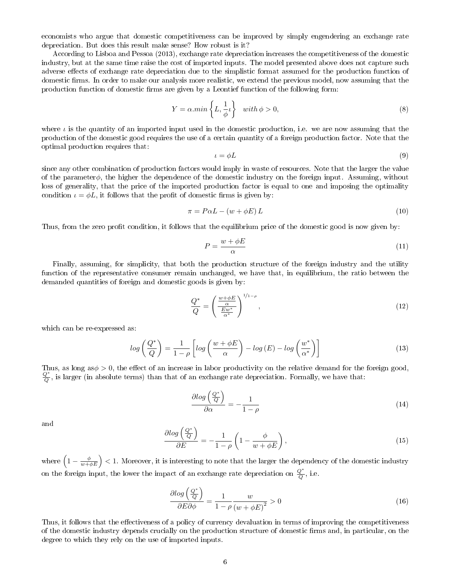economists who argue that domestic competitiveness can be improved by simply engendering an exchange rate depreciation. But does this result make sense? How robust is it?

According to Lisboa and Pessoa (2013), exchange rate depreciation increases the competitiveness of the domestic industry, but at the same time raise the cost of imported inputs. The model presented above does not capture such adverse effects of exchange rate depreciation due to the simplistic format assumed for the production function of domestic firms. In order to make our analysis more realistic, we extend the previous model, now assuming that the production function of domestic firms are given by a Leontief function of the following form:

$$
Y = \alpha \cdot min \left\{ L, \frac{1}{\phi} \iota \right\} \quad with \ \phi > 0,\tag{8}
$$

where  $\iota$  is the quantity of an imported input used in the domestic production, i.e. we are now assuming that the production of the domestic good requires the use of a certain quantity of a foreign production factor. Note that the optimal production requires that:

$$
\iota = \phi L \tag{9}
$$

since any other combination of production factors would imply in waste of resources. Note that the larger the value of the parameterφ, the higher the dependence of the domestic industry on the foreign input. Assuming, without loss of generality, that the price of the imported production factor is equal to one and imposing the optimality condition  $\iota = \phi L$ , it follows that the profit of domestic firms is given by:

$$
\pi = P\alpha L - (w + \phi E) L \tag{10}
$$

Thus, from the zero profit condition, it follows that the equilibrium price of the domestic good is now given by:

$$
P = \frac{w + \phi E}{\alpha} \tag{11}
$$

Finally, assuming, for simplicity, that both the production structure of the foreign industry and the utility function of the representative consumer remain unchanged, we have that, in equilibrium, the ratio between the demanded quantities of foreign and domestic goods is given by:

$$
\frac{Q^*}{Q} = \left(\frac{\frac{w + \phi E}{\alpha}}{\frac{E w^*}{\alpha^*}}\right)^{1/1-\rho},\tag{12}
$$

which can be re-expressed as:

$$
log\left(\frac{Q^*}{Q}\right) = \frac{1}{1-\rho} \left[ log\left(\frac{w+\phi E}{\alpha}\right) - log\left(E\right) - log\left(\frac{w^*}{\alpha^*}\right) \right] \tag{13}
$$

Thus, as long as $\phi > 0$ , the effect of an increase in labor productivity on the relative demand for the foreign good,  $\frac{Q^*}{Q}$ , is larger (in absolute terms) than that of an exchange rate depreciation. Formally, we have that:

$$
\frac{\partial \log\left(\frac{Q^*}{Q}\right)}{\partial \alpha} = -\frac{1}{1-\rho} \tag{14}
$$

and

$$
\frac{\partial \log\left(\frac{Q^*}{Q}\right)}{\partial E} = -\frac{1}{1-\rho} \left(1 - \frac{\phi}{w + \phi E}\right),\tag{15}
$$

where  $\left(1-\frac{\phi}{w+\phi E}\right) < 1$ . Moreover, it is interesting to note that the larger the dependency of the domestic industry on the foreign input, the lower the impact of an exchange rate depreciation on  $\frac{Q^*}{Q}$ , i.e.

$$
\frac{\partial \log\left(\frac{Q^*}{Q}\right)}{\partial E \partial \phi} = \frac{1}{1 - \rho} \frac{w}{\left(w + \phi E\right)^2} > 0\tag{16}
$$

Thus, it follows that the effectiveness of a policy of currency devaluation in terms of improving the competitiveness of the domestic industry depends crucially on the production structure of domestic rms and, in particular, on the degree to which they rely on the use of imported inputs.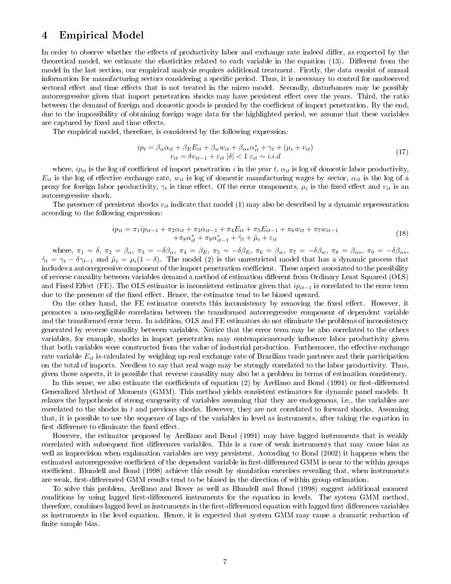## 4 Empirical Model

In order to observe whether the effects of productivity labor and exchange rate indeed differ, as expected by the theoretical model, we estimate the elasticities related to each variable in the equation (13). Different from the model in the last section, our empirical analysis requires additional treatment. Firstly, the data consist of annual information for manufacturing sectors considering a specific period. Thus, it is necessary to control for unobserved sectoral effect and time effects that is not treated in the micro model. Secondly, disturbances may be possibly autorregressive given that import penetration shocks may have persistent effect over the years. Third, the ratio between the demand of foreign and domestic goods is proxied by the coefficient of import penetration. By the end, due to the impossibility of obtaining foreign wage data for the highlighted period, we assume that these variables are captured by fixed and time effects.

The empirical model, therefore, is considered by the following expression:

$$
ip_t = \beta_\alpha \alpha_{it} + \beta_E E_{it} + \beta_w w_{it} + \beta_{\alpha*} \alpha_{it}^* + \gamma_t + (\mu_i + v_{it})
$$
  

$$
v_{it} = \delta v_{it-1} + \varepsilon_{it} |\delta| < 1 \varepsilon_{it} \sim i.i.d
$$
 (17)

where,  $ip_{it}$  is the log of coefficient of import penetration i in the year t,  $\alpha_{it}$  is log of domestic labor productivity,  $E_{it}$  is the log of effective exchange rate,  $w_{it}$  is log of domestic manufacturing wages by sector,  $\alpha_{it}$  is the log of a proxy for foreign labor productivity,  $\gamma_t$  is time effect. Of the error components,  $\mu_i$  is the fixed effect and  $v_{it}$  is an autorregressive shock.

The presence of persistent shocks  $v_{it}$  indicate that model (1) may also be described by a dynamic representation according to the following expression:

$$
ip_{it} = \pi_1 ip_{it-1} + \pi_2 \alpha_{it} + \pi_3 \alpha_{it-1} + \pi_4 E_{it} + \pi_5 E_{it-1} + \pi_6 w_{it} + \pi_7 w_{it-1} + \pi_8 \alpha_{it}^* + \pi_9 \alpha_{it-1}^* + \tilde{\gamma}_t + \tilde{\mu}_i + \varepsilon_{it}
$$
\n(18)

where,  $\pi_1 = \delta$ ,  $\pi_2 = \beta_\alpha$ ,  $\pi_3 = -\delta\beta_\alpha$ ,  $\pi_4 = \beta_E$ ,  $\pi_5 = -\delta\beta_E$ ,  $\pi_6 = \beta_w$ ,  $\pi_7 = -\delta\beta_w$ ,  $\pi_8 = \beta_{\alpha*}$ ,  $\pi_9 = -\delta\beta_{\alpha*}$ ,  $\tilde{\gamma}_t = \gamma_t - \delta \gamma_{t-1}$  and  $\tilde{\mu}_i = \mu_i (1 - \delta)$ . The model (2) is the unrestricted model that has a dynamic process that includes a autorregressive component of the import penetration coefficient. These aspect associated to the possibility of reverse causality between variables demand a method of estimation dierent from Ordinary Least Squared (OLS) and Fixed Effect (FE). The OLS estimator is inconsistent estimator given that  $ip_{it-1}$  is correlated to the error term due to the presence of the fixed effect. Hence, the estimator tend to be biased upward.

On the other hand, the FE estimator corrects this inconsistency by removing the fixed effect. However, it promotes a non-negligible correlation between the transformed autorregressive component of dependent variable and the transformed error term. In addition, OLS and FE estimators do not eliminate the problems of inconsistency generated by reverse causality between variables. Notice that the error term may be also correlated to the others variables, for example, shocks in import penetration may contemporaneously influence labor productivity given that both variables were constructed from the value of industrial production. Furthermore, the effective exchange rate variable  $E_{it}$  is calculated by weighing up real exchange rate of Brazilian trade partners and their participation on the total of imports. Needless to say that real wage may be strongly correlated to the labor productivity. Thus, given those aspects, it is possible that reverse causality may also be a problem in terms of estimation consistency.

In this sense, we also estimate the coefficients of equation (2) by Arellano and Bond (1991) or first-differenced Generalized Method of Moments (GMM). This method yields consistent estimators for dynamic panel models. It relaxes the hypothesis of strong exogeneity of variables assuming that they are endogenous, i.e., the variables are correlated to the shocks in t and previous shocks. However, they are not correlated to forward shocks. Assuming that, it is possible to use the sequence of lags of the variables in level as instruments, after taking the equation in  $\operatorname{first}$  difference to eliminate the fixed effect.

However, the estimator proposed by Arellano and Bond (1991) may have lagged instruments that is weakly correlated with subsequent first differences variables. This is a case of weak instruments that may cause bias as well as imprecision when explanation variables are very persistent. According to Bond (2002) it happens when the estimated autorregressive coefficient of the dependent variable in first-differenced GMM is near to the within groups coefficient. Blundell and Bond (1998) achieve this result by simulation exercises revealing that, when instruments are weak, first-differenced GMM results tend to be biased in the direction of within group estimation.

To solve this problem, Arellano and Bover as well as Blundell and Bond (1998) suggest additional moment conditions by using lagged first-differenced instruments for the equation in levels. The system GMM method, therefore, combines lagged level as instruments in the first-differenced equation with lagged first differences variables as instruments in the level equation. Hence, it is expected that system GMM may cause a dramatic reduction of finite sample bias.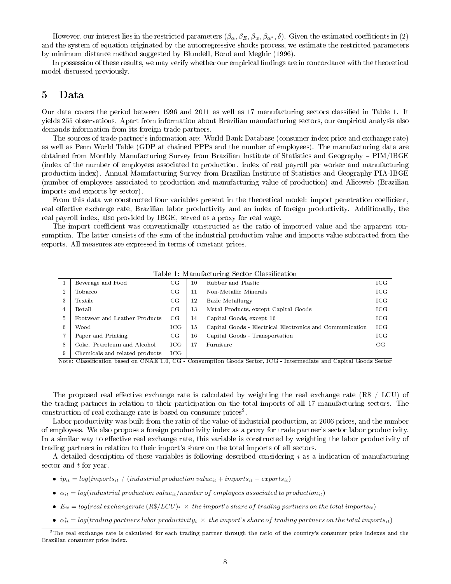However, our interest lies in the restricted parameters  $(\beta_{\alpha}, \beta_E, \beta_w, \beta_{\alpha^*}, \delta)$ . Given the estimated coefficients in (2) and the system of equation originated by the autorregressive shocks process, we estimate the restricted parameters by minimum distance method suggested by Blundell, Bond and Meghir (1996).

In possession of these results, we may verify whether our empirical findings are in concordance with the theoretical model discussed previously.

#### 5 Data

Our data covers the period between 1996 and 2011 as well as 17 manufacturing sectors classied in Table 1. It yields 255 observations. Apart from information about Brazilian manufacturing sectors, our empirical analysis also demands information from its foreign trade partners.

The sources of trade partner's information are: World Bank Database (consumer index price and exchange rate) as well as Penn World Table (GDP at chained PPPs and the number of employees). The manufacturing data are obtained from Monthly Manufacturing Survey from Brazilian Institute of Statistics and Geography PIM/IBGE (index of the number of employees associated to production. index of real payroll per worker and manufacturing production index). Annual Manufacturing Survey from Brazilian Institute of Statistics and Geography PIA-IBGE (number of employees associated to production and manufacturing value of production) and Aliceweb (Brazilian imports and exports by sector).

From this data we constructed four variables present in the theoretical model: import penetration coefficient, real effective exchange rate, Brazilian labor productivity and an index of foreign productivity. Additionally, the real payroll index, also provided by IBGE, served as a proxy for real wage.

The import coefficient was conventionally constructed as the ratio of imported value and the apparent consumption. The latter consists of the sum of the industrial production value and imports value subtracted from the exports. All measures are expressed in terms of constant prices.

|                | Table 1. Manufacturing bector Classification |              |    |                                                          |              |  |  |  |  |  |
|----------------|----------------------------------------------|--------------|----|----------------------------------------------------------|--------------|--|--|--|--|--|
|                | Beverage and Food                            | CG           | 10 | Rubber and Plastic                                       | ICG          |  |  |  |  |  |
| $\overline{2}$ | Tobacco                                      | CG           | 11 | Non-Metallic Minerals                                    | $_{\rm ICG}$ |  |  |  |  |  |
| 3              | Textile                                      | CG           | 12 | Basic Metallurgy                                         | ICG          |  |  |  |  |  |
|                | Retail                                       | CG           | 13 | Metal Products, except Capital Goods                     | ICG          |  |  |  |  |  |
| 5              | Footwear and Leather Products                | CG           | 14 | Capital Goods, except 16                                 | ICG          |  |  |  |  |  |
| 6              | Wood                                         | $_{\rm ICG}$ | 15 | Capital Goods - Electrical Electronics and Communication | ICG          |  |  |  |  |  |
|                | Paper and Printing                           | CG           | 16 | Capital Goods - Transportation                           | ICG          |  |  |  |  |  |
| 8              | Coke. Petroleum and Alcohol                  | ICG          | 17 | Furniture                                                | CG           |  |  |  |  |  |
| 9              | Chemicals and related products               | ICG.         |    |                                                          |              |  |  |  |  |  |

Table 1: Manufacturing Sector Classication

Note: Classification based on CNAE 1.0, CG - Consumption Goods Sector, ICG - Intermediate and Capital Goods Sector

The proposed real effective exchange rate is calculated by weighting the real exchange rate ( $\text{R\$}$  / LCU) of the trading partners in relation to their participation on the total imports of all 17 manufacturing sectors. The construction of real exchange rate is based on consumer prices<sup>2</sup>.

Labor productivity was built from the ratio of the value of industrial production, at 2006 prices, and the number of employees. We also propose a foreign productivity index as a proxy for trade partner's sector labor productivity. In a similar way to effective real exchange rate, this variable is constructed by weighting the labor productivity of trading partners in relation to their import's share on the total imports of all sectors.

A detailed description of these variables is following described considering  $i$  as a indication of manufacturing sector and  $t$  for year.

- i $p_{it} = log(imports_{it} / (industrial\ production\ value_{it} + imports_{it} exports_{it})$
- $\bullet$   $\alpha_{it} = log(industrial\ production\ value_{it}/number\ of\ employees\ associated\ to\ production\_{it})$
- $\bullet$   $E_{it} = log (real \ exchange rate (R\$/LCU)_{t} \times the \ import's \ share \ of \ trading \ partners \ on \ the \ total \ imports_{it})$
- $\bullet \ \alpha_{it}^* = log(traing \, partners \, labor \, productivity_t \, \times \, the \, import's \, share \, of \, trading \, partners \, on \, the \, total \, imports_{it})$

 $2$ The real exchange rate is calculated for each trading partner through the ratio of the country's consumer price indexes and the Brazilian consumer price index.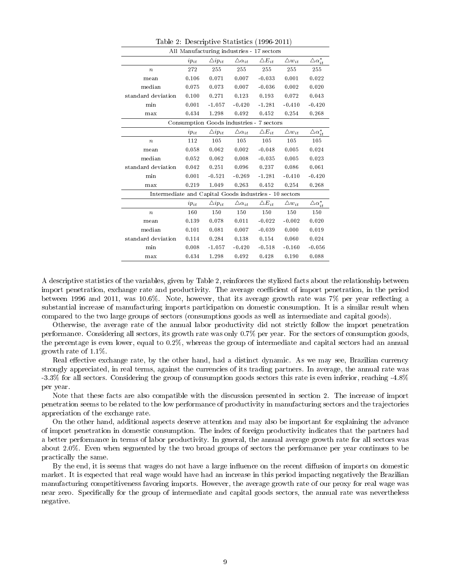| All Manufacturing industries - 17 sectors              |           |                                          |                           |                    |                    |                            |  |  |  |
|--------------------------------------------------------|-----------|------------------------------------------|---------------------------|--------------------|--------------------|----------------------------|--|--|--|
|                                                        | $ip_{it}$ | $\triangle ip_{it}$                      | $\triangle\alpha_{it}$    | $\triangle E_{it}$ | $\triangle w_{it}$ | $\triangle\alpha_{it}^*$   |  |  |  |
| $\boldsymbol{n}$                                       | 272       | 255                                      | 255                       | 255                | 255                | 255                        |  |  |  |
| mean                                                   | 0.106     | 0.071                                    | 0.007                     | $-0.033$           | 0.001              | 0.022                      |  |  |  |
| median                                                 | 0.075     | 0.073                                    | 0.007                     | $-0.036$           | 0.002              | 0.020                      |  |  |  |
| standard deviation                                     | 0.100     | 0.271                                    | 0.123                     | 0.193              | 0.072              | 0.043                      |  |  |  |
| min                                                    | 0.001     | $-1.057$                                 | $-0.420$                  | $-1.281$           | $-0.410$           | $-0.420$                   |  |  |  |
| max                                                    | 0.434     | 1.298                                    | 0.492                     | 0.452              | 0.254              | 0.268                      |  |  |  |
|                                                        |           | Consumption Goods industries - 7 sectors |                           |                    |                    |                            |  |  |  |
|                                                        | $ip_{it}$ | $\triangle ip_{it}$                      | $\Delta \alpha_{it}$      | $\triangle E_{it}$ | $\triangle w_{it}$ | $\triangle\alpha_{it}^{*}$ |  |  |  |
| $\boldsymbol{n}$                                       | 112       | 105                                      | 105                       | 105                | 105                | 105                        |  |  |  |
| mean                                                   | 0.058     | 0.062                                    | 0.002                     | $-0.048$           | 0.005              | 0.024                      |  |  |  |
| median                                                 | 0.052     | 0.062                                    | 0.008                     | $-0.035$           | 0.005              | 0.023                      |  |  |  |
| standard deviation                                     | 0.042     | 0.251                                    | 0.096                     | 0.237              | 0.086              | 0.061                      |  |  |  |
| min                                                    | 0.001     | $-0.521$                                 | $-0.269$                  | $-1.281$           | $-0.410$           | $-0.420$                   |  |  |  |
| max                                                    | 0.219     | 1.049                                    | 0.263                     | 0.452              | 0.254              | 0.268                      |  |  |  |
| Intermediate and Capital Goods industries - 10 sectors |           |                                          |                           |                    |                    |                            |  |  |  |
|                                                        | $ip_{it}$ | $\triangle ip_{it}$                      | $\triangle$ $\alpha_{it}$ | $\triangle E_{it}$ | $\triangle w_{it}$ | $\triangle\alpha_{it}^{*}$ |  |  |  |
| $\boldsymbol{n}$                                       | 160       | 150                                      | 150                       | 150                | 150                | 150                        |  |  |  |
| mean                                                   | 0.139     | 0.078                                    | 0.011                     | $-0.022$           | $-0.002$           | 0.020                      |  |  |  |
| median                                                 | 0.101     | 0.081                                    | 0.007                     | $-0.039$           | 0.000              | 0.019                      |  |  |  |
| standard deviation                                     | 0.114     | 0.284                                    | 0.138                     | 0.154              | 0.060              | 0.024                      |  |  |  |
| min                                                    | 0.008     | $-1.057$                                 | $-0.420$                  | $-0.518$           | $-0.160$           | $-0.056$                   |  |  |  |
| max                                                    | 0.434     | 1.298                                    | 0.492                     | 0.428              | 0.190              | 0.088                      |  |  |  |

Table 2: Descriptive Statistics (1996-2011)

A descriptive statistics of the variables, given by Table 2, reinforces the stylized facts about the relationship between import penetration, exchange rate and productivity. The average coefficient of import penetration, in the period between 1996 and 2011, was 10.6%. Note, however, that its average growth rate was  $7\%$  per year reflecting a substantial increase of manufacturing imports participation on domestic consumption. It is a similar result when compared to the two large groups of sectors (consumptions goods as well as intermediate and capital goods).

Otherwise, the average rate of the annual labor productivity did not strictly follow the import penetration performance. Considering all sectors, its growth rate was only 0.7% per year. For the sectors of consumption goods, the percentage is even lower, equal to 0.2%, whereas the group of intermediate and capital sectors had an annual growth rate of 1.1%.

Real effective exchange rate, by the other hand, had a distinct dynamic. As we may see, Brazilian currency strongly appreciated, in real terms, against the currencies of its trading partners. In average, the annual rate was -3.3% for all sectors. Considering the group of consumption goods sectors this rate is even inferior, reaching -4.8% per year.

Note that these facts are also compatible with the discussion presented in section 2. The increase of import penetration seems to be related to the low performance of productivity in manufacturing sectors and the trajectories appreciation of the exchange rate.

On the other hand, additional aspects deserve attention and may also be important for explaining the advance of import penetration in domestic consumption. The index of foreign productivity indicates that the partners had a better performance in terms of labor productivity. In general, the annual average growth rate for all sectors was about 2.0%. Even when segmented by the two broad groups of sectors the performance per year continues to be practically the same.

By the end, it is seems that wages do not have a large influence on the recent diffusion of imports on domestic market. It is expected that real wage would have had an increase in this period impacting negatively the Brazilian manufacturing competitiveness favoring imports. However, the average growth rate of our proxy for real wage was near zero. Specifically for the group of intermediate and capital goods sectors, the annual rate was nevertheless negative.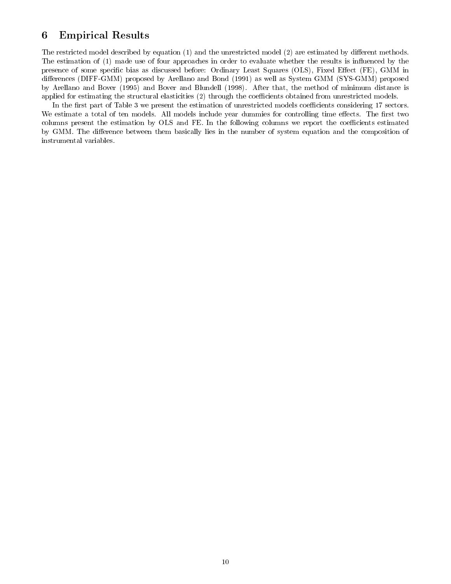### 6 Empirical Results

The restricted model described by equation  $(1)$  and the unrestricted model  $(2)$  are estimated by different methods. The estimation of (1) made use of four approaches in order to evaluate whether the results is influenced by the presence of some specific bias as discussed before: Ordinary Least Squares (OLS), Fixed Effect (FE), GMM in differences (DIFF-GMM) proposed by Arellano and Bond (1991) as well as System GMM (SYS-GMM) proposed by Arellano and Bover (1995) and Bover and Blundell (1998). After that, the method of minimum distance is applied for estimating the structural elasticities (2) through the coefficients obtained from unrestricted models.

In the first part of Table 3 we present the estimation of unrestricted models coefficients considering 17 sectors. We estimate a total of ten models. All models include year dummies for controlling time effects. The first two columns present the estimation by OLS and FE. In the following columns we report the coefficients estimated by GMM. The difference between them basically lies in the number of system equation and the composition of instrumental variables.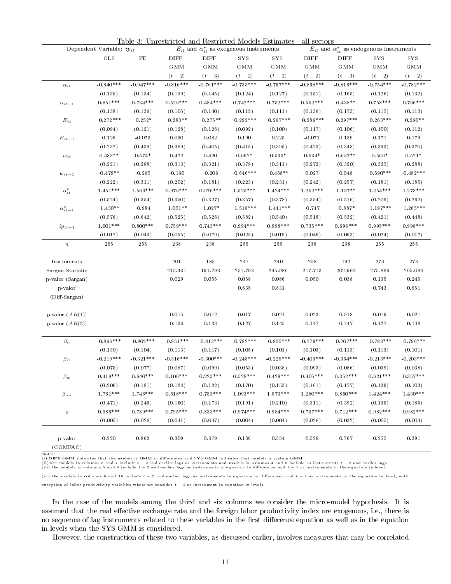|                        | Dependent Variable: $ip_{it}$ |             |                    |                     | $E_{it}$ and $\alpha_{it}^*$ as exogenous instruments |                    |             |                                                                                                                                                                                                                                                                                                                                                                                                                                                                                                                                                                                  |                                                                                                                                                                                                                                                                                                                                                                                                                                                                                                                                                    |              |
|------------------------|-------------------------------|-------------|--------------------|---------------------|-------------------------------------------------------|--------------------|-------------|----------------------------------------------------------------------------------------------------------------------------------------------------------------------------------------------------------------------------------------------------------------------------------------------------------------------------------------------------------------------------------------------------------------------------------------------------------------------------------------------------------------------------------------------------------------------------------|----------------------------------------------------------------------------------------------------------------------------------------------------------------------------------------------------------------------------------------------------------------------------------------------------------------------------------------------------------------------------------------------------------------------------------------------------------------------------------------------------------------------------------------------------|--------------|
|                        | $_{\rm OLS}$                  | $\rm FE$    | DIFF-              | $\rm{DIFF}\text{-}$ | $_{\mathrm{SYS-}}$                                    | $_{\mathrm{SYS-}}$ |             |                                                                                                                                                                                                                                                                                                                                                                                                                                                                                                                                                                                  |                                                                                                                                                                                                                                                                                                                                                                                                                                                                                                                                                    | SYS-         |
|                        |                               |             | $\rm GMM$          | $\rm GM\,M$         | $_{\mathrm{GMM}}$                                     | $\rm G\,MM$        |             |                                                                                                                                                                                                                                                                                                                                                                                                                                                                                                                                                                                  |                                                                                                                                                                                                                                                                                                                                                                                                                                                                                                                                                    | <b>GMM</b>   |
|                        |                               |             | $\left(t-2\right)$ | $(t-3)$             | $(t-2)$                                               | $\left(t-2\right)$ |             |                                                                                                                                                                                                                                                                                                                                                                                                                                                                                                                                                                                  |                                                                                                                                                                                                                                                                                                                                                                                                                                                                                                                                                    | $(t-2)$      |
| $\alpha_{it}$          | $-0.840***$                   | $-0.947***$ | $-0.816***$        | $-0.761***$         | $-0.733***$                                           | $-0.767***$        | $-0.868***$ |                                                                                                                                                                                                                                                                                                                                                                                                                                                                                                                                                                                  |                                                                                                                                                                                                                                                                                                                                                                                                                                                                                                                                                    | $-0.782***$  |
|                        | (0.135)                       | (0.134)     | (0.139)            | (0.145)             | (0.124)                                               | (0.127)            | (0.151)     | (0.165)                                                                                                                                                                                                                                                                                                                                                                                                                                                                                                                                                                          | $E_{it}$ and $\alpha_{it}^*$ as endogenous instruments<br>$_{\rm{SYS-}}$<br><b>GMM</b><br>$(t-2)$<br>$-0.754***$<br>(0.126)<br>$0.758***$<br>(0.115)<br>$-0.263***$<br>(0.100)<br>0.171<br>(0.393)<br>$0.566*$<br>(0.325)<br>$-0.590***$<br>(0.181)<br>$1.254***$<br>(0.209)<br>$-1.197***$<br>(0.421)<br>$0.995***$<br>(0.024)<br>238<br>255<br>$19\sqrt{2}$<br>274<br>275.886<br>0.135<br>0.743<br>0.019<br>0.127<br>$-0.783***$<br>(0.113)<br>$-0.213***$<br>(0.039)<br>$0.621***$<br>(0.139)<br>$1.424***$<br>(0.135)<br>$0.982***$<br>(0.005) | (0.132)      |
| $\alpha_{it-1}$        | $0.851***$                    | $0.734***$  | $0.526***$         | $0.484***$          | $0.742***$                                            | $0.752***$         | $0.552***$  |                                                                                                                                                                                                                                                                                                                                                                                                                                                                                                                                                                                  |                                                                                                                                                                                                                                                                                                                                                                                                                                                                                                                                                    | $0.766***$   |
|                        | (0.138)                       | (0.136)     | (0.105)            | (0.140)             | (0.112)                                               | (0.111)            | (0.136)     | (0.173)                                                                                                                                                                                                                                                                                                                                                                                                                                                                                                                                                                          |                                                                                                                                                                                                                                                                                                                                                                                                                                                                                                                                                    | (0.113)      |
| $E_{\,it}$             | $-0.272***$                   | $-0.252*$   | $-0.283**$         | $-0.275**$          | $-0.292***$                                           | $-0.267***$        | $-0.286***$ |                                                                                                                                                                                                                                                                                                                                                                                                                                                                                                                                                                                  |                                                                                                                                                                                                                                                                                                                                                                                                                                                                                                                                                    | $-0.260**$   |
|                        | (0.094)                       | (0.121)     | (0.128)            | (0.126)             | (0.092)                                               | (0.100)            | (0.117)     | (0.106)                                                                                                                                                                                                                                                                                                                                                                                                                                                                                                                                                                          |                                                                                                                                                                                                                                                                                                                                                                                                                                                                                                                                                    | (0.112)      |
| $E_{it-1}$             | 0.126                         | $-0.073$    | 0.030              | 0.082               | 0.190                                                 | 0.225              | $-0.071$    | 0.139                                                                                                                                                                                                                                                                                                                                                                                                                                                                                                                                                                            |                                                                                                                                                                                                                                                                                                                                                                                                                                                                                                                                                    | 0.179        |
|                        | (0.232)                       | (0.439)     | (0.389)            | (0.405)             | (0.415)                                               | (0.395)            | (0.423)     | (0.348)                                                                                                                                                                                                                                                                                                                                                                                                                                                                                                                                                                          |                                                                                                                                                                                                                                                                                                                                                                                                                                                                                                                                                    | (0.370)      |
| $\boldsymbol{w}_{it}$  | $0.483**$                     | $0.574*$    | 0.422              | 0.420               | $0.662*$                                              | $0.533*$           | $0.534*$    | $0.637**$                                                                                                                                                                                                                                                                                                                                                                                                                                                                                                                                                                        |                                                                                                                                                                                                                                                                                                                                                                                                                                                                                                                                                    | $0.521*$     |
|                        | (0.221)                       | (0.288)     | (0.313)            | (0.321)             | (0.379)                                               | (0.311)            | (0.272)     | (0.320)                                                                                                                                                                                                                                                                                                                                                                                                                                                                                                                                                                          |                                                                                                                                                                                                                                                                                                                                                                                                                                                                                                                                                    | (0.288)      |
| $w_{it-1}$             | $-0.479**$                    | $-0.265$    | $-0.160$           | $-0.206$            | $-0.646***$                                           | $-0.468**$         | 0.027       | $0.048\,$                                                                                                                                                                                                                                                                                                                                                                                                                                                                                                                                                                        |                                                                                                                                                                                                                                                                                                                                                                                                                                                                                                                                                    | $-0.482***$  |
|                        | (0.222)                       | (0.311)     | (0.202)            | (0.181)             | (0.223)                                               | (0.231)            | (0.242)     | (0.257)                                                                                                                                                                                                                                                                                                                                                                                                                                                                                                                                                                          |                                                                                                                                                                                                                                                                                                                                                                                                                                                                                                                                                    | (0.185)      |
| $\alpha_{it}^*$        | $1.451***$                    | $1.566***$  | $0.976***$         | $0.976***$          | $1.525***$                                            | $1.424***$         | $1.252***$  | $1.137**$                                                                                                                                                                                                                                                                                                                                                                                                                                                                                                                                                                        |                                                                                                                                                                                                                                                                                                                                                                                                                                                                                                                                                    | $1.278***$   |
|                        | (0.524)                       | (0.354)     | (0.350)            | (0.327)             | (0.357)                                               | (0.378)            | (0.354)     | (0.516)                                                                                                                                                                                                                                                                                                                                                                                                                                                                                                                                                                          |                                                                                                                                                                                                                                                                                                                                                                                                                                                                                                                                                    | (0.262)      |
| $\alpha^*_{it-1}$      | $-1.430**$                    | $-0.984$    | $-1.051**$         | $-1.027*$           | $-1.518***$                                           | $-1.441***$        | $-0.747$    | $-0.887*$                                                                                                                                                                                                                                                                                                                                                                                                                                                                                                                                                                        |                                                                                                                                                                                                                                                                                                                                                                                                                                                                                                                                                    | $-1.265***$  |
|                        | (0.576)                       | (0.642)     | (0.525)            | (0.526)             | (0.582)                                               | (0.540)            | (0.518)     | (0.532)                                                                                                                                                                                                                                                                                                                                                                                                                                                                                                                                                                          |                                                                                                                                                                                                                                                                                                                                                                                                                                                                                                                                                    | (0.448)      |
| $ip_{it-1}$            | $1.001***$                    | $0.800***$  | $0.759***$         | $0.743***$          | $0.994***$                                            | $0.998***$         | $0.735***$  | $0.696***$                                                                                                                                                                                                                                                                                                                                                                                                                                                                                                                                                                       |                                                                                                                                                                                                                                                                                                                                                                                                                                                                                                                                                    | $0.998***$   |
|                        | (0.012)                       | (0.043)     | (0.055)            | (0.079)             | (0.023)                                               | (0.019)            | (0.046)     | (0.063)                                                                                                                                                                                                                                                                                                                                                                                                                                                                                                                                                                          |                                                                                                                                                                                                                                                                                                                                                                                                                                                                                                                                                    | (0.017)      |
| $\boldsymbol{n}$       | $255\,$                       | $2\,55$     | 238                | 238                 | 255                                                   | 255                | 238         |                                                                                                                                                                                                                                                                                                                                                                                                                                                                                                                                                                                  |                                                                                                                                                                                                                                                                                                                                                                                                                                                                                                                                                    | 255          |
|                        |                               |             |                    |                     |                                                       |                    |             |                                                                                                                                                                                                                                                                                                                                                                                                                                                                                                                                                                                  |                                                                                                                                                                                                                                                                                                                                                                                                                                                                                                                                                    |              |
| Instruments            |                               |             | $20\sqrt{1}$       | $1\,8\,5$           | $\bf 241$                                             | $24\,0$            | $2\,08$     |                                                                                                                                                                                                                                                                                                                                                                                                                                                                                                                                                                                  |                                                                                                                                                                                                                                                                                                                                                                                                                                                                                                                                                    | $27\sqrt{3}$ |
| Sargan Statistic       |                               |             | 215.431            | 191.793             | 251.793                                               | 245.986            | 217.713     | 202.960                                                                                                                                                                                                                                                                                                                                                                                                                                                                                                                                                                          |                                                                                                                                                                                                                                                                                                                                                                                                                                                                                                                                                    | 265.084      |
| p-valor (Sargan)       |                               |             | 0.029              | 0.055               | 0.058                                                 | 0.086              | 0.050       | 0.038                                                                                                                                                                                                                                                                                                                                                                                                                                                                                                                                                                            |                                                                                                                                                                                                                                                                                                                                                                                                                                                                                                                                                    | 0.245        |
| p-valor                |                               |             |                    |                     | 0.635                                                 | 0.831              |             |                                                                                                                                                                                                                                                                                                                                                                                                                                                                                                                                                                                  |                                                                                                                                                                                                                                                                                                                                                                                                                                                                                                                                                    | 0.951        |
| $(Diff-Sargan)$        |                               |             |                    |                     |                                                       |                    |             |                                                                                                                                                                                                                                                                                                                                                                                                                                                                                                                                                                                  |                                                                                                                                                                                                                                                                                                                                                                                                                                                                                                                                                    |              |
|                        |                               |             |                    |                     |                                                       |                    |             |                                                                                                                                                                                                                                                                                                                                                                                                                                                                                                                                                                                  |                                                                                                                                                                                                                                                                                                                                                                                                                                                                                                                                                    |              |
| p-valor $(AR(1))$      |                               |             | 0.015              | 0.012               | 0.017                                                 | 0.021              | 0.023       |                                                                                                                                                                                                                                                                                                                                                                                                                                                                                                                                                                                  |                                                                                                                                                                                                                                                                                                                                                                                                                                                                                                                                                    | 0.021        |
| p-valor $(AR(2))$      |                               |             | 0.136              | 0.133               | 0.127                                                 | 0.145              | 0.147       | 0.147                                                                                                                                                                                                                                                                                                                                                                                                                                                                                                                                                                            |                                                                                                                                                                                                                                                                                                                                                                                                                                                                                                                                                    | 0.148        |
|                        |                               | $-0.902***$ |                    |                     | $-0.782***$                                           |                    |             |                                                                                                                                                                                                                                                                                                                                                                                                                                                                                                                                                                                  |                                                                                                                                                                                                                                                                                                                                                                                                                                                                                                                                                    |              |
| $\beta_{\alpha}$       | $-0.866***$                   |             | $-0.851***$        | $-0.813***$         |                                                       | $-0.805***$        |             |                                                                                                                                                                                                                                                                                                                                                                                                                                                                                                                                                                                  |                                                                                                                                                                                                                                                                                                                                                                                                                                                                                                                                                    | $-0.796***$  |
|                        | (0.130)                       | (0.104)     | (0.113)            | (0.117)             | (0.105)                                               | (0.101)            |             |                                                                                                                                                                                                                                                                                                                                                                                                                                                                                                                                                                                  |                                                                                                                                                                                                                                                                                                                                                                                                                                                                                                                                                    | (0.101)      |
| $\beta_E$              | $-0.219***$                   | $-0.321***$ | $-0.316***$        | $-0.300***$         | $-0.248***$                                           | $-0.229***$        |             |                                                                                                                                                                                                                                                                                                                                                                                                                                                                                                                                                                                  |                                                                                                                                                                                                                                                                                                                                                                                                                                                                                                                                                    | $-0.203***$  |
|                        | (0.075)                       | (0.077)     | (0.087)            | (0.099)             | (0.053)                                               | (0.038)            | (0.093)     | ${\rm DIFF}$ -<br>$\rm{DIFF}\text{-}$<br><b>GMM</b><br>GMM<br>$(t-2)$<br>$(t-3)$<br>$-0.816***$<br>$0.438**$<br>$-0.297***$<br>0.018<br>$-0.779***$<br>$-0.707***$<br>(0.103)<br>(0.113)<br>$-0.403***$<br>$-0.364***$<br>(0.086)<br>$0.405***$<br>$0.352***$<br>(0.177)<br>$0.860***$<br>(0.392)<br>$0.712***$<br>(0.032)<br>0.526<br>0.767<br>(ii) the models in columns 3 and 7 include $t-2$ and earlier lags as instruments and models in columns 4 and 8 include as instruments $t-3$ and earlier lags.<br>(iii) the models in columns 5 and 9 include $t-2$ and earlier l |                                                                                                                                                                                                                                                                                                                                                                                                                                                                                                                                                    | (0.038)      |
| $\beta_w$              | $0.419***$                    | $0.640***$  | $0.106***$         | $0.223***$          | $0.528***$                                            | $0.429***$         |             |                                                                                                                                                                                                                                                                                                                                                                                                                                                                                                                                                                                  |                                                                                                                                                                                                                                                                                                                                                                                                                                                                                                                                                    | $0.357***$   |
|                        | (0.206)                       | (0.181)     | (0.124)            | (0.122)             | (0.170)                                               | (0.153)            | (0.161)     |                                                                                                                                                                                                                                                                                                                                                                                                                                                                                                                                                                                  |                                                                                                                                                                                                                                                                                                                                                                                                                                                                                                                                                    | (0.103)      |
| $\beta_{\alpha*}$      | $1.761***$                    | $1.746***$  | $0.616***$         | $0.753***$          | $1.093***$                                            | $1.573***$         | $1.280***$  |                                                                                                                                                                                                                                                                                                                                                                                                                                                                                                                                                                                  |                                                                                                                                                                                                                                                                                                                                                                                                                                                                                                                                                    | $1.430***$   |
|                        | (0.471)                       | (0.246)     | (0.160)            | (0.173)             | (0.191)                                               | (0.210)            | (0.311)     |                                                                                                                                                                                                                                                                                                                                                                                                                                                                                                                                                                                  |                                                                                                                                                                                                                                                                                                                                                                                                                                                                                                                                                    | (0.185)      |
| $\rho$                 | $0.986***$                    | $0.789***$  | $0.795***$         | $0.833***$          | $0.974***$                                            | $0.984***$         | $0.737***$  |                                                                                                                                                                                                                                                                                                                                                                                                                                                                                                                                                                                  |                                                                                                                                                                                                                                                                                                                                                                                                                                                                                                                                                    | $0.982***$   |
|                        | (0.005)                       | (0.026)     | (0.041)            | (0.047)             | (0.004)                                               | (0.004)            | (0.026)     |                                                                                                                                                                                                                                                                                                                                                                                                                                                                                                                                                                                  |                                                                                                                                                                                                                                                                                                                                                                                                                                                                                                                                                    | (0.004)      |
|                        |                               |             |                    |                     |                                                       |                    |             |                                                                                                                                                                                                                                                                                                                                                                                                                                                                                                                                                                                  |                                                                                                                                                                                                                                                                                                                                                                                                                                                                                                                                                    |              |
| $p$ -valor<br>(COMFAC) | 0.220                         | 0.862       | 0.309              | 0.379               | 0.136                                                 | 0.554              |             |                                                                                                                                                                                                                                                                                                                                                                                                                                                                                                                                                                                  | 0.255                                                                                                                                                                                                                                                                                                                                                                                                                                                                                                                                              | 0.391        |

Table 3: Unrestricted and Restricted Models Estimates - all sectors

(iv) the models in columns 6 and 10 include  $t - 2$  and earlier lags as instruments in equation in differences and  $t - 1$  as instruments in the equation in level, with

exception of labor productivity variables where we consider  $t - 2$  as instrument in equation in levels.

In the case of the models among the third and six columns we consider the micro-model hypothesis. It is assumed that the real effective exchange rate and the foreign labor productivity index are exogenous, i.e., there is no sequence of lag instruments related to these variables in the first difference equation as well as in the equation in levels when the SYS-GMM is considered.

However, the construction of these two variables, as discussed earlier, involves measures that may be correlated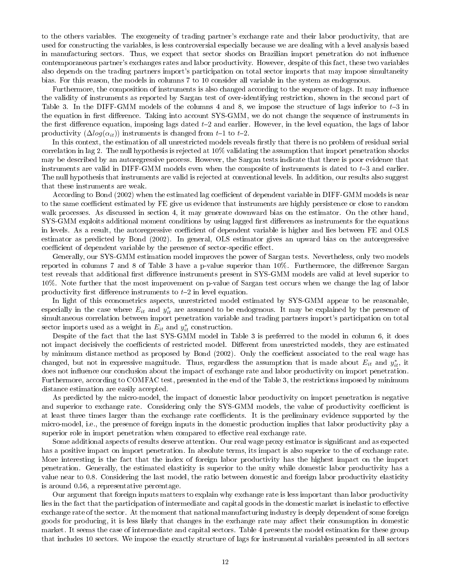to the others variables. The exogeneity of trading partner's exchange rate and their labor productivity, that are used for constructing the variables, is less controversial especially because we are dealing with a level analysis based in manufacturing sectors. Thus, we expect that sector shocks on Brazilian import penetration do not inuence contemporaneous partner's exchanges rates and labor productivity. However, despite of this fact, these two variables also depends on the trading partners import's participation on total sector imports that may impose simultaneity bias. For this reason, the models in columns 7 to 10 consider all variable in the system as endogenous.

Furthermore, the composition of instruments is also changed according to the sequence of lags. It may influence the validity of instruments as reported by Sargan test of over-identifying restriction, shown in the second part of Table 3. In the DIFF-GMM models of the columns 4 and 8, we impose the structure of lags inferior to  $t-3$  in the equation in first difference. Taking into account SYS-GMM, we do not change the sequence of instruments in the first difference equation, imposing lags dated  $t-2$  and earlier. However, in the level equation, the lags of labor productivity  $(\Delta log(\alpha_{it}))$  instruments is changed from t-1 to t-2.

In this context, the estimation of all unrestricted models reveals firstly that there is no problem of residual serial correlation in lag 2. The null hypothesis is rejected at 10% validating the assumption that import penetration shocks may be described by an autoregressive process. However, the Sargan tests indicate that there is poor evidence that instruments are valid in DIFF-GMM models even when the composite of instruments is dated to  $t-3$  and earlier. The null hypothesis that instruments are valid is rejected at conventional levels. In addition, our results also suggest that these instruments are weak.

According to Bond (2002) when the estimated lag coefficient of dependent variable in DIFF-GMM models is near to the same coefficient estimated by FE give us evidence that instruments are highly persistence or close to random walk processes. As discussed in section 4, it may generate downward bias on the estimator. On the other hand, SYS-GMM exploits additional moment conditions by using lagged first differences as instruments for the equations in levels. As a result, the autoregressive coefficient of dependent variable is higher and lies between FE and OLS estimator as predicted by Bond (2002). In general, OLS estimator gives an upward bias on the autoregressive coefficient of dependent variable by the presence of sector-specific effect.

Generally, our SYS-GMM estimation model improves the power of Sargan tests. Nevertheless, only two models reported in columns 7 and 8 of Table 3 have a p-value superior than 10%. Furthermore, the difference Sargan test reveals that additional first difference instruments present in SYS-GMM models are valid at level superior to 10%. Note further that the most improvement on p-value of Sargan test occurs when we change the lag of labor productivity first difference instruments to  $t-2$  in level equation.

In light of this econometrics aspects, unrestricted model estimated by SYS-GMM appear to be reasonable, especially in the case where  $E_{it}$  and  $y_{it}^*$  are assumed to be endogenous. It may be explained by the presence of simultaneous correlation between import penetration variable and trading partners import's participation on total sector imports used as a weight in  $E_{it}$  and  $y_{it}^*$  construction.

Despite of the fact that the last SYS-GMM model in Table 3 is preferred to the model in column 6, it does not impact decisively the coefficients of restricted model. Different from unrestricted models, they are estimated by minimum distance method as proposed by Bond (2002). Only the coefficient associated to the real wage has changed, but not in expressive magnitude. Thus, regardless the assumption that is made about  $E_{it}$  and  $y_{it}^*$ , it does not influence our conclusion about the impact of exchange rate and labor productivity on import penetration. Furthermore, according to COMFAC test, presented in the end of the Table 3, the restrictions imposed by minimum distance estimation are easily accepted.

As predicted by the micro-model, the impact of domestic labor productivity on import penetration is negative and superior to exchange rate. Considering only the SYS-GMM models, the value of productivity coefficient is at least three times larger than the exchange rate coefficients. It is the preliminary evidence supported by the micro-model, i.e., the presence of foreign inputs in the domestic production implies that labor productivity play a superior role in import penetration when compared to effective real exchange rate.

Some additional aspects of results deserve attention. Our real wage proxy estimator is significant and as expected has a positive impact on import penetration. In absolute terms, its impact is also superior to the of exchange rate. More interesting is the fact that the index of foreign labor productivity has the highest impact on the import penetration. Generally, the estimated elasticity is superior to the unity while domestic labor productivity has a value near to 0.8. Considering the last model, the ratio between domestic and foreign labor productivity elasticity is around 0.56, a representative percentage.

Our argument that foreign inputs matters to explain why exchange rate is less important than labor productivity lies in the fact that the participation of intermediate and capital goods in the domestic market is inelastic to effective exchange rate of the sector. At the moment that national manufacturing industry is deeply dependent of some foreign goods for producing, it is less likely that changes in the exchange rate may affect their consumption in domestic market. It seems the case of intermediate and capital sectors. Table 4 presents the model estimation for these group that includes 10 sectors. We impose the exactly structure of lags for instrumental variables presented in all sectors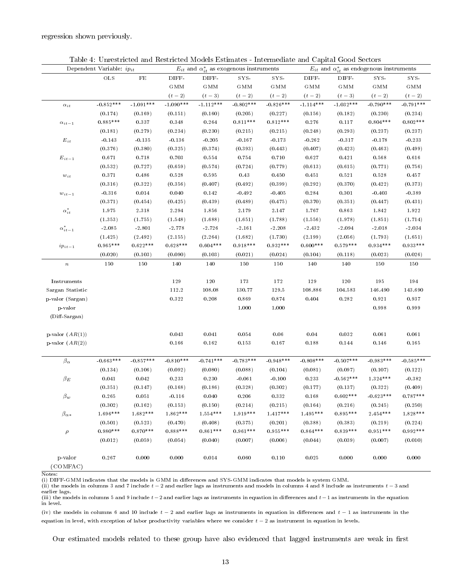regression shown previously.

|                       |                          | Table 4: Unrestricted and Restricted Models Estimates - Intermediate and Capital Good Sectors |                    |             |                                                       |                    |                   |                                                                                                                                                                                                                                                                                                                                                                                                                                                                                                                                                                                                                                                                                                                                                                                                                                                                                                                |             |             |  |
|-----------------------|--------------------------|-----------------------------------------------------------------------------------------------|--------------------|-------------|-------------------------------------------------------|--------------------|-------------------|----------------------------------------------------------------------------------------------------------------------------------------------------------------------------------------------------------------------------------------------------------------------------------------------------------------------------------------------------------------------------------------------------------------------------------------------------------------------------------------------------------------------------------------------------------------------------------------------------------------------------------------------------------------------------------------------------------------------------------------------------------------------------------------------------------------------------------------------------------------------------------------------------------------|-------------|-------------|--|
|                       | Dependent Variable: ipit |                                                                                               |                    |             | $E_{it}$ and $\alpha_{it}^*$ as exogenous instruments |                    |                   |                                                                                                                                                                                                                                                                                                                                                                                                                                                                                                                                                                                                                                                                                                                                                                                                                                                                                                                |             |             |  |
|                       | $_{\rm OLS}$             | $\rm FE$                                                                                      | DIFF-              | DIFF-       | $_{\mathrm{SYS-}}$                                    | $_{\mathrm{SYS-}}$ | DIFF-             |                                                                                                                                                                                                                                                                                                                                                                                                                                                                                                                                                                                                                                                                                                                                                                                                                                                                                                                |             |             |  |
|                       |                          |                                                                                               | $\rm G\,MM$        | <b>GMM</b>  | $_{\mathrm{GMM}}$                                     | GMM                | $_{\mathrm{GMM}}$ | GMM                                                                                                                                                                                                                                                                                                                                                                                                                                                                                                                                                                                                                                                                                                                                                                                                                                                                                                            |             | <b>GMM</b>  |  |
|                       |                          |                                                                                               | $\left(t-2\right)$ | $(t-3)$     | $(t - 2)$                                             | $(t - 2)$          | $(t-2)$           | $(t-3)$                                                                                                                                                                                                                                                                                                                                                                                                                                                                                                                                                                                                                                                                                                                                                                                                                                                                                                        | $(t-2)$     | $(t-2)$     |  |
| $\alpha_{it}$         | $-0.852***$              | $-1.091***$                                                                                   | $-1.090***$        | $-1.112***$ | $-0.802***$                                           | $-0.826***$        | $-1.114***$       | $-1.032***$                                                                                                                                                                                                                                                                                                                                                                                                                                                                                                                                                                                                                                                                                                                                                                                                                                                                                                    | $-0.790***$ | $-0.791***$ |  |
|                       | (0.174)                  | (0.169)                                                                                       | (0.151)            | (0.160)     | (0.205)                                               | (0.227)            | (0.156)           | (0.182)                                                                                                                                                                                                                                                                                                                                                                                                                                                                                                                                                                                                                                                                                                                                                                                                                                                                                                        | (0.230)     | (0.234)     |  |
| $\alpha_{it-1}$       | $0.885***$               | 0.337                                                                                         | 0.348              | 0.264       | $0.811***$                                            | $0.812***$         | $0.276\,$         | 0.117                                                                                                                                                                                                                                                                                                                                                                                                                                                                                                                                                                                                                                                                                                                                                                                                                                                                                                          | $0.804***$  | $0.802***$  |  |
|                       | (0.181)                  | (0.279)                                                                                       | (0.234)            | (0.230)     | (0.215)                                               | (0.215)            | (0.248)           | (0.293)                                                                                                                                                                                                                                                                                                                                                                                                                                                                                                                                                                                                                                                                                                                                                                                                                                                                                                        | (0.237)     | (0.237)     |  |
| $E_{\,it}$            | $-0.143$                 | $-0.135$                                                                                      | $-0.136$           | $-0.205$    | $-0.167$                                              | $-0.173$           | $-0.262$          | $-0.317$                                                                                                                                                                                                                                                                                                                                                                                                                                                                                                                                                                                                                                                                                                                                                                                                                                                                                                       | $-0.178$    | $-0.233$    |  |
|                       | (0.376)                  | (0.380)                                                                                       | (0.325)            | (0.374)     | (0.393)                                               | (0.443)            | (0.407)           |                                                                                                                                                                                                                                                                                                                                                                                                                                                                                                                                                                                                                                                                                                                                                                                                                                                                                                                | (0.463)     |             |  |
| $E_{it-1}$            | 0.671                    | 0.718                                                                                         | 0.703              | 0.554       | 0.754                                                 | 0.710              | $0.627\,$         |                                                                                                                                                                                                                                                                                                                                                                                                                                                                                                                                                                                                                                                                                                                                                                                                                                                                                                                |             |             |  |
|                       | (0.532)                  | (0.727)                                                                                       | (0.659)            | (0.574)     | (0.724)                                               | (0.779)            | (0.613)           |                                                                                                                                                                                                                                                                                                                                                                                                                                                                                                                                                                                                                                                                                                                                                                                                                                                                                                                |             |             |  |
| $\boldsymbol{w}_{it}$ | 0.371                    | 0.486                                                                                         | 0.528              | 0.595       | 0.43                                                  | 0.450              | 0.451             |                                                                                                                                                                                                                                                                                                                                                                                                                                                                                                                                                                                                                                                                                                                                                                                                                                                                                                                |             |             |  |
|                       | (0.316)                  | (0.322)                                                                                       | (0.356)            | (0.407)     | (0.492)                                               | (0.399)            | (0.292)           |                                                                                                                                                                                                                                                                                                                                                                                                                                                                                                                                                                                                                                                                                                                                                                                                                                                                                                                |             |             |  |
|                       | $-0.316$                 | 0.014                                                                                         | 0.040              | 0.142       | $-0.492$                                              | $-0.405$           | 0.284             |                                                                                                                                                                                                                                                                                                                                                                                                                                                                                                                                                                                                                                                                                                                                                                                                                                                                                                                |             |             |  |
| $w_{it-1}$            |                          |                                                                                               |                    |             |                                                       |                    |                   |                                                                                                                                                                                                                                                                                                                                                                                                                                                                                                                                                                                                                                                                                                                                                                                                                                                                                                                |             |             |  |
|                       | (0.371)                  | (0.454)                                                                                       | (0.425)            | (0.439)     | (0.489)                                               | (0.475)            | (0.370)           |                                                                                                                                                                                                                                                                                                                                                                                                                                                                                                                                                                                                                                                                                                                                                                                                                                                                                                                |             |             |  |
| $\alpha_{it}^*$       | 1.975                    | 2.318                                                                                         | 2.294              | 1.856       | 2.179                                                 | 2.147              | 1.767             |                                                                                                                                                                                                                                                                                                                                                                                                                                                                                                                                                                                                                                                                                                                                                                                                                                                                                                                |             |             |  |
|                       | (1.353)                  | (1.755)                                                                                       | (1.548)            | (1.688)     | (1.651)                                               | (1.788)            | (1.556)           |                                                                                                                                                                                                                                                                                                                                                                                                                                                                                                                                                                                                                                                                                                                                                                                                                                                                                                                |             |             |  |
| $\alpha^*_{it-1}$     | $-2.085$                 | $-2.801$                                                                                      | $-2.778$           | $-2.726$    | $-2.161$                                              | $-2.208$           | $-2.432$          |                                                                                                                                                                                                                                                                                                                                                                                                                                                                                                                                                                                                                                                                                                                                                                                                                                                                                                                |             |             |  |
|                       | (1.425)                  | (2.492)                                                                                       | (2.155)            | (2.264)     | (1.682)                                               | (1.730)            | (2.199)           |                                                                                                                                                                                                                                                                                                                                                                                                                                                                                                                                                                                                                                                                                                                                                                                                                                                                                                                |             |             |  |
| $ip_{it-1}$           | $0.965***$               | $0.622***$                                                                                    | $0.628***$         | $0.604***$  | $0.918***$                                            | $0.932***$         | $0.600***$        |                                                                                                                                                                                                                                                                                                                                                                                                                                                                                                                                                                                                                                                                                                                                                                                                                                                                                                                |             |             |  |
|                       | (0.020)                  | (0.103)                                                                                       | (0.090)            | (0.103)     | (0.021)                                               | (0.024)            | (0.104)           | (0.118)                                                                                                                                                                                                                                                                                                                                                                                                                                                                                                                                                                                                                                                                                                                                                                                                                                                                                                        | (0.023)     |             |  |
| $\boldsymbol{n}$      | 150                      | 150                                                                                           | 140                | 140         | 150                                                   | 150                | 140               | 140                                                                                                                                                                                                                                                                                                                                                                                                                                                                                                                                                                                                                                                                                                                                                                                                                                                                                                            | 150         | 150         |  |
|                       |                          |                                                                                               |                    |             |                                                       |                    |                   |                                                                                                                                                                                                                                                                                                                                                                                                                                                                                                                                                                                                                                                                                                                                                                                                                                                                                                                |             |             |  |
| Instruments           |                          |                                                                                               | 129                | 120         | 173                                                   | 172                | 129               | 120                                                                                                                                                                                                                                                                                                                                                                                                                                                                                                                                                                                                                                                                                                                                                                                                                                                                                                            | 195         | 194         |  |
| Sargan Statistic      |                          |                                                                                               | 112.2              | 108.08      | 130.77                                                | 129.5              | 108.886           | 104.583                                                                                                                                                                                                                                                                                                                                                                                                                                                                                                                                                                                                                                                                                                                                                                                                                                                                                                        | 146.490     | 143.690     |  |
| p-valor (Sargan)      |                          |                                                                                               | 0.322              | 0.208       | 0.869                                                 | 0.874              | 0.404             | 0.282                                                                                                                                                                                                                                                                                                                                                                                                                                                                                                                                                                                                                                                                                                                                                                                                                                                                                                          | 0.921       | 0.937       |  |
| p-valor               |                          |                                                                                               |                    |             | 1.000                                                 | 1.000              |                   |                                                                                                                                                                                                                                                                                                                                                                                                                                                                                                                                                                                                                                                                                                                                                                                                                                                                                                                | 0.998       | 0.999       |  |
| $(Diff-Sargan)$       |                          |                                                                                               |                    |             |                                                       |                    |                   |                                                                                                                                                                                                                                                                                                                                                                                                                                                                                                                                                                                                                                                                                                                                                                                                                                                                                                                |             |             |  |
|                       |                          |                                                                                               |                    |             |                                                       |                    |                   |                                                                                                                                                                                                                                                                                                                                                                                                                                                                                                                                                                                                                                                                                                                                                                                                                                                                                                                |             |             |  |
| p-valor $(AR(1))$     |                          |                                                                                               | 0.043              | 0.041       | 0.054                                                 | 0.06               | 0.04              | 0.032                                                                                                                                                                                                                                                                                                                                                                                                                                                                                                                                                                                                                                                                                                                                                                                                                                                                                                          | 0.061       | 0.061       |  |
| p-valor $(AR(2))$     |                          |                                                                                               | 0.166              | 0.162       | 0.153                                                 | 0.167              | 0.188             | 0.144                                                                                                                                                                                                                                                                                                                                                                                                                                                                                                                                                                                                                                                                                                                                                                                                                                                                                                          | 0.146       | 0.165       |  |
|                       |                          |                                                                                               |                    |             |                                                       |                    |                   |                                                                                                                                                                                                                                                                                                                                                                                                                                                                                                                                                                                                                                                                                                                                                                                                                                                                                                                |             |             |  |
| $\beta_{\alpha}$      | $-0.663***$              | $-0.857***$                                                                                   | $-0.810***$        | $-0.741***$ | $-0.783***$                                           | $-0.948***$        | $-0.808***$       | $-0.507***$                                                                                                                                                                                                                                                                                                                                                                                                                                                                                                                                                                                                                                                                                                                                                                                                                                                                                                    | $-0.983***$ | $-0.585***$ |  |
|                       | (0.134)                  | (0.106)                                                                                       | (0.092)            | (0.080)     | (0.088)                                               | (0.104)            | (0.081)           |                                                                                                                                                                                                                                                                                                                                                                                                                                                                                                                                                                                                                                                                                                                                                                                                                                                                                                                |             |             |  |
| $\beta_E$             | 0.041                    | 0.042                                                                                         | 0.233              | 0.230       | $-0.061$                                              | $-0.100$           | 0.233             |                                                                                                                                                                                                                                                                                                                                                                                                                                                                                                                                                                                                                                                                                                                                                                                                                                                                                                                |             |             |  |
|                       | (0.351)                  | (0.147)                                                                                       | (0.168)            | (0.186)     | (0.328)                                               | (0.302)            | (0.177)           |                                                                                                                                                                                                                                                                                                                                                                                                                                                                                                                                                                                                                                                                                                                                                                                                                                                                                                                |             |             |  |
| $\beta_w$             | 0.265                    | 0.051                                                                                         | $-0.116$           | 0.040       | 0.206                                                 | 0.332              | 0.168             |                                                                                                                                                                                                                                                                                                                                                                                                                                                                                                                                                                                                                                                                                                                                                                                                                                                                                                                |             |             |  |
|                       | (0.302)                  | (0.162)                                                                                       | (0.153)            | (0.150)     | (0.214)                                               | (0.215)            | (0.164)           |                                                                                                                                                                                                                                                                                                                                                                                                                                                                                                                                                                                                                                                                                                                                                                                                                                                                                                                |             |             |  |
| $\beta_{\alpha*}$     | $1.696***$               | $1.682***$                                                                                    | $1.862***$         | $1.554***$  | $1.919***$                                            | $1.417***$         | $1.495***$        |                                                                                                                                                                                                                                                                                                                                                                                                                                                                                                                                                                                                                                                                                                                                                                                                                                                                                                                |             |             |  |
|                       |                          |                                                                                               |                    |             |                                                       |                    |                   |                                                                                                                                                                                                                                                                                                                                                                                                                                                                                                                                                                                                                                                                                                                                                                                                                                                                                                                |             |             |  |
|                       | (0.501)                  | (0.523)                                                                                       | (0.470)            | (0.408)     | (0.375)                                               | (0.201)            | (0.388)           |                                                                                                                                                                                                                                                                                                                                                                                                                                                                                                                                                                                                                                                                                                                                                                                                                                                                                                                |             |             |  |
| $\rho$                | $0.980***$               | $0.870***$                                                                                    | $0.888***$         | $0.861***$  | $0.961***$                                            | $0.955***$         | $0.864***$        |                                                                                                                                                                                                                                                                                                                                                                                                                                                                                                                                                                                                                                                                                                                                                                                                                                                                                                                |             |             |  |
|                       | (0.012)                  | (0.059)                                                                                       | (0.054)            | (0.040)     | (0.007)                                               | (0.006)            | (0.044)           |                                                                                                                                                                                                                                                                                                                                                                                                                                                                                                                                                                                                                                                                                                                                                                                                                                                                                                                |             |             |  |
|                       |                          |                                                                                               |                    |             |                                                       |                    |                   |                                                                                                                                                                                                                                                                                                                                                                                                                                                                                                                                                                                                                                                                                                                                                                                                                                                                                                                |             |             |  |
| p-valor               | 0.267                    | 0.000                                                                                         | 0.000              | 0.014       | 0.060                                                 | 0.110              | 0.025             |                                                                                                                                                                                                                                                                                                                                                                                                                                                                                                                                                                                                                                                                                                                                                                                                                                                                                                                |             |             |  |
| (COMFAC)              |                          |                                                                                               |                    |             |                                                       |                    |                   | $E_{it}$ and $\alpha_{it}^*$ as endogenous instruments<br>$_{\mathrm{SYS-}}$<br>DIFF-<br>$_{\mathrm{SYS-}}$<br>$_{\mathrm{GMM}}$<br>(0.423)<br>(0.499)<br>0.421<br>0.568<br>0.616<br>(0.615)<br>(0.771)<br>(0.756)<br>0.521<br>0.528<br>0.457<br>(0.370)<br>(0.422)<br>(0.373)<br>0.301<br>$-0.403$<br>$-0.389$<br>(0.351)<br>(0.447)<br>(0.431)<br>0.863<br>1.842<br>1.922<br>(1.978)<br>(1.851)<br>(1.714)<br>$-2.094$<br>$-2.018$<br>$-2.034$<br>(2.056)<br>(1.793)<br>(1.651)<br>$0.579***$<br>$0.933***$<br>$0.934***$<br>(0.026)<br>(0.097)<br>(0.107)<br>(0.122)<br>$-0.562***$<br>$1.324***$<br>$-0.382$<br>(0.137)<br>(0.322)<br>(0.409)<br>$0.602***$<br>$-0.623***$<br>$0.787***$<br>(0.216)<br>(0.245)<br>(0.250)<br>$1.828***$<br>$0.895***$<br>$2.454***$<br>(0.383)<br>(0.219)<br>(0.224)<br>$0.839***$<br>$0.992***$<br>$0.951***$<br>(0.039)<br>(0.007)<br>(0.010)<br>0.000<br>0.000<br>0.000 |             |             |  |

Table 4: Unrestricted and Restricted Models Estimates - Intermediate and Capital Good Sectors

Notes:

(i) DIFF-GMM indicates that the models is GMM in differences and SYS-GMM indicates that models is system GMM.

(ii) the models in columns 3 and 7 include  $t-2$  and earlier lags as instruments and models in columns 4 and 8 include as instruments  $t-3$  and earlier lags.

(iii) the models in columns 5 and 9 include  $t-2$  and earlier lags as instruments in equation in differences and  $t-1$  as instruments in the equation in level.

(iv) the models in columns 6 and 10 include  $t - 2$  and earlier lags as instruments in equation in differences and  $t - 1$  as instruments in the equation in level, with exception of labor productivity variables where we consider  $t - 2$  as instrument in equation in levels.

Our estimated models related to these group have also evidenced that lagged instruments are weak in first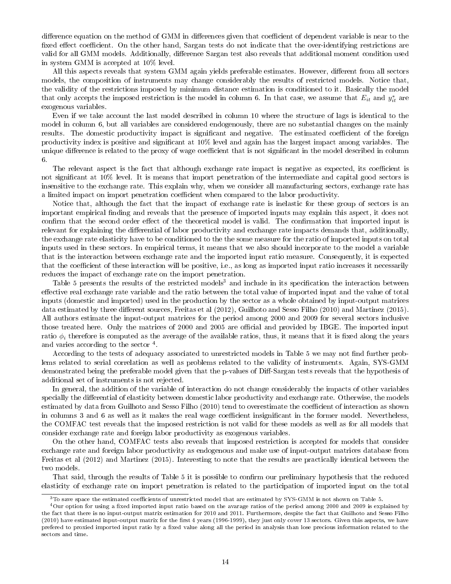difference equation on the method of GMM in differences given that coefficient of dependent variable is near to the fixed effect coefficient. On the other hand, Sargan tests do not indicate that the over-identifying restrictions are valid for all GMM models. Additionally, difference Sargan test also reveals that additional moment condition used in system GMM is accepted at 10% level.

All this aspects reveals that system GMM again yields preferable estimates. However, different from all sectors models, the composition of instruments may change considerably the results of restricted models. Notice that, the validity of the restrictions imposed by minimum distance estimation is conditioned to it. Basically the model that only accepts the imposed restriction is the model in column 6. In that case, we assume that  $E_{it}$  and  $y_{it}^*$  are exogenous variables.

Even if we take account the last model described in column 10 where the structure of lags is identical to the model in column 6, but all variables are considered endogenously, there are no substantial changes on the mainly results. The domestic productivity impact is significant and negative. The estimated coefficient of the foreign productivity index is positive and signicant at 10% level and again has the largest impact among variables. The unique difference is related to the proxy of wage coefficient that is not significant in the model described in column 6.

The relevant aspect is the fact that although exchange rate impact is negative as expected, its coefficient is not significant at 10% level. It is means that import penetration of the intermediate and capital good sectors is insensitive to the exchange rate. This explain why, when we consider all manufacturing sectors, exchange rate has a limited impact on import penetration coefficient when compared to the labor productivity.

Notice that, although the fact that the impact of exchange rate is inelastic for these group of sectors is an important empirical finding and reveals that the presence of imported inputs may explain this aspect, it does not confirm that the second order effect of the theoretical model is valid. The confirmation that imported input is relevant for explaining the differential of labor productivity and exchange rate impacts demands that, additionally, the exchange rate elasticity have to be conditioned to the the some measure for the ratio of imported inputs on total inputs used in these sectors. In empirical terms, it means that we also should incorporate to the model a variable that is the interaction between exchange rate and the imported input ratio measure. Consequently, it is expected that the coefficient of these interaction will be positive, i.e., as long as imported input ratio increases it necessarily reduces the impact of exchange rate on the import penetration.

Table 5 presents the results of the restricted models<sup>3</sup> and include in its specification the interaction between effective real exchange rate variable and the ratio between the total value of imported input and the value of total inputs (domestic and imported) used in the production by the sector as a whole obtained by input-output matrices data estimated by three different sources, Freitas et al (2012), Guilhoto and Sesso Filho (2010) and Martinez (2015). All authors estimate the input-output matrices for the period among 2000 and 2009 for several sectors inclusive those treated here. Only the matrices of 2000 and 2005 are official and provided by IBGE. The imported input ratio  $\phi_i$  therefore is computed as the average of the available ratios, thus, it means that it is fixed along the years and varies according to the sector  $4$ .

According to the tests of adequacy associated to unrestricted models in Table 5 we may not find further problems related to serial correlation as well as problems related to the validity of instruments. Again, SYS-GMM demonstrated being the preferable model given that the p-values of Diff-Sargan tests reveals that the hypothesis of additional set of instruments is not rejected.

In general, the addition of the variable of interaction do not change considerably the impacts of other variables specially the differential of elasticity between domestic labor productivity and exchange rate. Otherwise, the models estimated by data from Guilhoto and Sesso Filho (2010) tend to overestimate the coefficient of interaction as shown in columns 3 and 6 as well as it makes the real wage coefficient insignificant in the former model. Nevertheless, the COMFAC test reveals that the imposed restriction is not valid for these models as well as for all models that consider exchange rate and foreign labor productivity as exogenous variables.

On the other hand, COMFAC tests also reveals that imposed restriction is accepted for models that consider exchange rate and foreign labor productivity as endogenous and make use of input-output matrices database from Freitas et al (2012) and Martinez (2015). Interesting to note that the results are practically identical between the two models.

That said, through the results of Table 5 it is possible to confirm our preliminary hypothesis that the reduced elasticity of exchange rate on import penetration is related to the participation of imported input on the total

 $3$ To save space the estimated coefficients of unrestricted model that are estimated by SYS-GMM is not shown on Table 5.

<sup>&</sup>lt;sup>4</sup>Our option for using a fixed imported input ratio based on the avarage ratios of the period among 2000 and 2009 is explained by the fact that there is no input-output matrix estimation for 2010 and 2011. Furthermore, despite the fact that Guilhoto and Sesso Filho (2010) have estimated input-output matrix for the first 4 years (1996-1999), they just only cover 13 sectors. Given this aspects, we have prefered to proxied imported input ratio by a fixed value along all the period in analysis than lose precious information related to the sectors and time.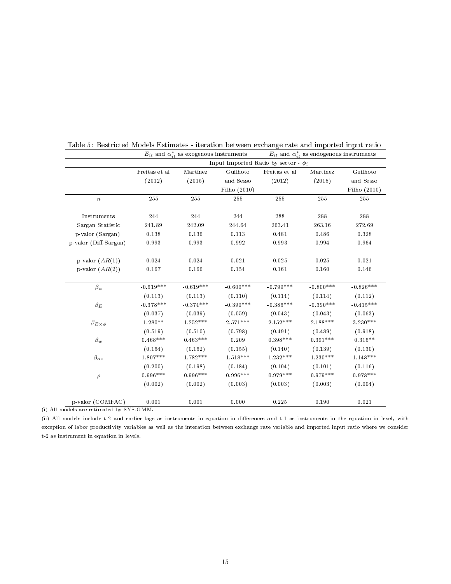|                       | Input Imported Ratio by sector - $\phi_i$ |             |                |               |             |                |  |  |
|-----------------------|-------------------------------------------|-------------|----------------|---------------|-------------|----------------|--|--|
|                       | Freitas et al                             | Martinez    | Guilhoto       | Freitas et al | Martinez    | Guilhoto       |  |  |
|                       | (2012)                                    | (2015)      | and Sesso      | (2012)        | (2015)      | and Sesso      |  |  |
|                       |                                           |             | Filho $(2010)$ |               |             | Filho $(2010)$ |  |  |
| $\boldsymbol{n}$      | 255                                       | 255         | 255            | 255           | 255         | 255            |  |  |
| Instruments           | 244                                       | 244         | 244            | 288           | 288         | 288            |  |  |
| Sargan Statistic      | 241.89                                    | 242.09      | 244.64         | 263.41        | 263.16      | 272.69         |  |  |
| p-valor (Sargan)      | 0.138                                     | 0.136       | 0.113          | 0.481         | 0.486       | 0.328          |  |  |
| p-valor (Diff-Sargan) | 0.993                                     | 0.993       | 0.992          | 0.993         | 0.994       | 0.964          |  |  |
| p-valor $(AR(1))$     | 0.024                                     | 0.024       | 0.021          | 0.025         | 0.025       | 0.021          |  |  |
| p-valor $(AR(2))$     | 0.167                                     | 0.166       | 0.154          | 0.161         | 0.160       | 0.146          |  |  |
| $\beta_{\alpha}$      | $-0.619***$                               | $-0.619***$ | $-0.600***$    | $-0.799***$   | $-0.800***$ | $-0.826***$    |  |  |
|                       | (0.113)                                   | (0.113)     | (0.110)        | (0.114)       | (0.114)     | (0.112)        |  |  |
| $\beta_E$             | $-0.378***$                               | $-0.374***$ | $-0.390***$    | $-0.386***$   | $-0.390***$ | $-0.415***$    |  |  |
|                       | (0.037)                                   | (0.039)     | (0.059)        | (0.043)       | (0.043)     | (0.063)        |  |  |
| $\beta_{E\times\phi}$ | $1.280**$                                 | $1.252***$  | $2.571***$     | $2.152***$    | $2.188***$  | $3.230***$     |  |  |
|                       | (0.519)                                   | (0.510)     | (0.798)        | (0.491)       | (0.489)     | (0.918)        |  |  |
| $\beta_w$             | $0.468***$                                | $0.463***$  | 0.209          | $0.398***$    | $0.391***$  | $0.316**$      |  |  |
|                       | (0.164)                                   | (0.162)     | (0.155)        | (0.140)       | (0.139)     | (0.130)        |  |  |
| $\beta_{\alpha*}$     | $1.807***$                                | $1.782***$  | $1.518***$     | $1.232***$    | $1.230***$  | $1.148***$     |  |  |
|                       | (0.200)                                   | (0.198)     | (0.184)        | (0.104)       | (0.101)     | (0.116)        |  |  |
| $\rho$                | $0.996***$                                | $0.996***$  | $0.996***$     | $0.979***$    | $0.979***$  | $0.978***$     |  |  |
|                       | (0.002)                                   | (0.002)     | (0.003)        | (0.003)       | (0.003)     | (0.004)        |  |  |
| p-valor (COMFAC)      | 0.001                                     | 0.001       | 0.000          | 0.225         | 0.190       | 0.021          |  |  |

| Table 5: Restricted Models Estimates - iteration between exchange rate and imported input ratio |                                                        |
|-------------------------------------------------------------------------------------------------|--------------------------------------------------------|
| $E_{it}$ and $\alpha_{it}^*$ as exogenous instruments                                           | $E_{it}$ and $\alpha_{it}^*$ as endogenous instruments |

(ii) All models include t-2 and earlier lags as instruments in equation in differences and t-1 as instruments in the equation in level, with exception of labor productivity variables as well as the interation between exchange rate variable and imported input ratio where we consider t-2 as instrument in equation in levels.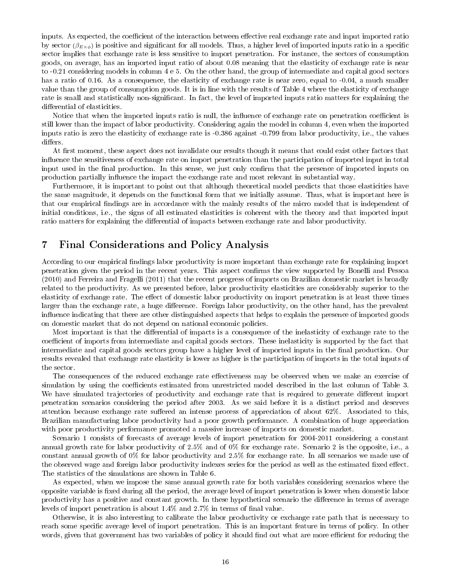inputs. As expected, the coefficient of the interaction between effective real exchange rate and input imported ratio by sector ( $\beta_{E\times\phi}$ ) is positive and significant for all models. Thus, a higher level of imported inputs ratio in a specific sector implies that exchange rate is less sensitive to import penetration. For instance, the sectors of consumption goods, on average, has an imported input ratio of about 0.08 meaning that the elasticity of exchange rate is near to -0.21 considering models in column 4 e 5. On the other hand, the group of intermediate and capital good sectors has a ratio of 0.16. As a consequence, the elasticity of exchange rate is near zero, equal to -0.04, a much smaller value than the group of consumption goods. It is in line with the results of Table 4 where the elasticity of exchange rate is small and statistically non-significant. In fact, the level of imported inputs ratio matters for explaining the differential of elasticities.

Notice that when the imported inputs ratio is null, the influence of exchange rate on penetration coefficient is still lower than the impact of labor productivity. Considering again the model in column 4, even when the imported inputs ratio is zero the elasticity of exchange rate is -0.386 against -0.799 from labor productivity, i.e., the values differs.

At first moment, these aspect does not invalidate our results though it means that could exist other factors that influence the sensitiveness of exchange rate on import penetration than the participation of imported input in total input used in the final production. In this sense, we just only confirm that the presence of imported inputs on production partially influence the impact the exchange rate and most relevant in substantial way.

Furthermore, it is important to point out that although theoretical model predicts that those elasticities have the same magnitude, it depends on the functional form that we initially assume. Thus, what is important here is that our empirical findings are in accordance with the mainly results of the micro model that is independent of initial conditions, i.e., the signs of all estimated elasticities is coherent with the theory and that imported input ratio matters for explaining the differential of impacts between exchange rate and labor productivity.

#### 7 Final Considerations and Policy Analysis

According to our empirical findings labor productivity is more important than exchange rate for explaining import penetration given the period in the recent years. This aspect conrms the view supported by Bonelli and Pessoa (2010) and Ferreira and Fragelli (2011) that the recent progress of imports on Brazilian domestic market is broadly related to the productivity. As we presented before, labor productivity elasticities are considerably superior to the elasticity of exchange rate. The effect of domestic labor productivity on import penetration is at least three times larger than the exchange rate, a huge difference. Foreign labor productivity, on the other hand, has the prevalent influence indicating that there are other distinguished aspects that helps to explain the presence of imported goods on domestic market that do not depend on national economic policies.

Most important is that the differential of impacts is a consequence of the inelasticity of exchange rate to the coefficient of imports from intermediate and capital goods sectors. These inelasticity is supported by the fact that intermediate and capital goods sectors group have a higher level of imported inputs in the final production. Our results revealed that exchange rate elasticity is lower as higher is the participation of imports in the total inputs of the sector.

The consequences of the reduced exchange rate effectiveness may be observed when we make an exercise of simulation by using the coefficients estimated from unrestricted model described in the last column of Table 3. We have simulated trajectories of productivity and exchange rate that is required to generate different import penetration scenarios considering the period after 2003. As we said before it is a distinct period and deserves attention because exchange rate suffered an intense process of appreciation of about 62%. Associated to this, Brazilian manufacturing labor productivity had a poor growth performance. A combination of huge appreciation with poor productivity performance promoted a massive increase of imports on domestic market.

Scenario 1 consists of forecasts of average levels of import penetration for 2004-2011 considering a constant annual growth rate for labor productivity of 2.5% and of 0% for exchange rate. Scenario 2 is the opposite, i.e., a constant annual growth of 0% for labor productivity and 2.5% for exchange rate. In all scenarios we made use of the observed wage and foreign labor productivity indexes series for the period as well as the estimated fixed effect. The statistics of the simulations are shown in Table 6.

As expected, when we impose the same annual growth rate for both variables considering scenarios where the opposite variable is fixed during all the period, the average level of import penetration is lower when domestic labor productivity has a positive and constant growth. In these hypothetical scenario the difference in terms of average levels of import penetration is about  $1.4\%$  and  $2.7\%$  in terms of final value.

Otherwise, it is also interesting to calibrate the labor productivity or exchange rate path that is necessary to reach some specific average level of import penetration. This is an important feature in terms of policy. In other words, given that government has two variables of policy it should find out what are more efficient for reducing the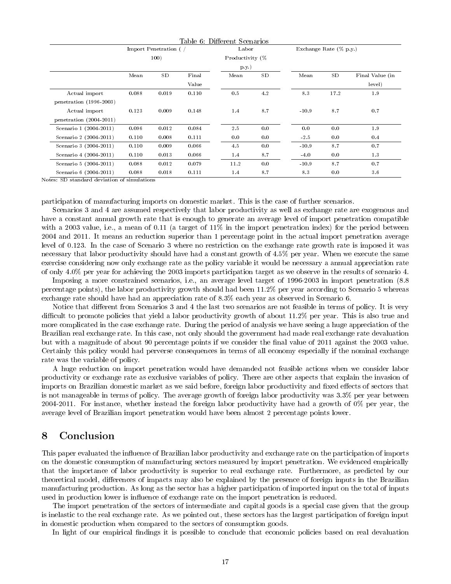|                         |       |                       |       | Table 6: Different Scenarios |     |                           |            |                 |  |
|-------------------------|-------|-----------------------|-------|------------------------------|-----|---------------------------|------------|-----------------|--|
|                         |       | Import Penetration (/ |       | Labor                        |     | Exchange Rate $(\%$ p.y.) |            |                 |  |
|                         | 100)  |                       |       | Productivity (%              |     |                           |            |                 |  |
|                         |       |                       |       | p.y.                         |     |                           |            |                 |  |
|                         | Mean  | SD                    | Final | Mean                         | SD  | Mean                      | ${\rm SD}$ | Final Value (in |  |
|                         |       |                       | Value |                              |     |                           |            | level)          |  |
| Actual import           | 0.088 | 0.019                 | 0.110 | 0.5                          | 4.2 | 8.3                       | 17.2       | 1.9             |  |
| penetration (1996-2003) |       |                       |       |                              |     |                           |            |                 |  |
| Actual import           | 0.123 | 0.009                 | 0.148 | 1.4                          | 8.7 | $-10.9$                   | 8.7        | 0.7             |  |
| penetration (2004-2011) |       |                       |       |                              |     |                           |            |                 |  |
| Scenario 1 (2004-2011)  | 0.096 | 0.012                 | 0.084 | 2.5                          | 0.0 | 0.0                       | 0.0        | 1.9             |  |
| Scenario 2 (2004-2011)  | 0.110 | 0.008                 | 0.111 | 0.0                          | 0.0 | $-2.5$                    | 0.0        | 0.4             |  |
| Scenario 3 (2004-2011)  | 0.110 | 0.009                 | 0.066 | 4.5                          | 0.0 | $-10.9$                   | 8.7        | 0.7             |  |
| Scenario 4 (2004-2011)  | 0.110 | 0.013                 | 0.066 | 1.4                          | 8.7 | $-4.0$                    | 0.0        | 1.3             |  |
| Scenario 5 (2004-2011)  | 0.088 | 0.012                 | 0.079 | 11.2                         | 0.0 | $-10.9$                   | 8.7        | 0.7             |  |
| Scenario 6 (2004-2011)  | 0.088 | 0.018                 | 0.111 | 1.4                          | 8.7 | 8.3                       | 0.0        | $3.6\,$         |  |

Notes: SD standard deviation of simulations

participation of manufacturing imports on domestic market. This is the case of further scenarios.

Scenarios 3 and 4 are assumed respectively that labor productivity as well as exchange rate are exogenous and have a constant annual growth rate that is enough to generate an average level of import penetration compatible with a 2003 value, i.e., a mean of 0.11 (a target of  $11\%$  in the import penetration index) for the period between 2004 and 2011. It means an reduction superior than 1 percentage point in the actual import penetration average level of 0.123. In the case of Scenario 3 where no restriction on the exchange rate growth rate is imposed it was necessary that labor productivity should have had a constant growth of 4.5% per year. When we execute the same exercise considering now only exchange rate as the policy variable it would be necessary a annual appreciation rate of only 4.0% per year for achieving the 2003 imports participation target as we observe in the results of scenario 4.

Imposing a more constrained scenarios, i.e., an average level target of 1996-2003 in import penetration (8.8 percentage points), the labor productivity growth should had been 11.2% per year according to Scenario 5 whereas exchange rate should have had an appreciation rate of 8.3% each year as observed in Scenario 6.

Notice that different from Scenarios 3 and 4 the last two scenarios are not feasible in terms of policy. It is very difficult to promote policies that yield a labor productivity growth of about 11.2% per year. This is also true and more complicated in the case exchange rate. During the period of analysis we have seeing a huge appreciation of the Brazilian real exchange rate. In this case, not only should the government had made real exchange rate devaluation but with a magnitude of about 90 percentage points if we consider the final value of 2011 against the 2003 value. Certainly this policy would had perverse consequences in terms of all economy especially if the nominal exchange rate was the variable of policy.

A huge reduction on import penetration would have demanded not feasible actions when we consider labor productivity or exchange rate as exclusive variables of policy. There are other aspects that explain the invasion of imports on Brazilian domestic market as we said before, foreign labor productivity and fixed effects of sectors that is not manageable in terms of policy. The average growth of foreign labor productivity was 3.3% per year between 2004-2011. For instance, whether instead the foreign labor productivity have had a growth of 0% per year, the average level of Brazilian import penetration would have been almost 2 percentage points lower.

#### 8 Conclusion

This paper evaluated the influence of Brazilian labor productivity and exchange rate on the participation of imports on the domestic consumption of manufacturing sectors measured by import penetration. We evidenced empirically that the importance of labor productivity is superior to real exchange rate. Furthermore, as predicted by our theoretical model, differences of impacts may also be explained by the presence of foreign inputs in the Brazilian manufacturing production. As long as the sector has a higher participation of imported input on the total of inputs used in production lower is influence of exchange rate on the import penetration is reduced.

The import penetration of the sectors of intermediate and capital goods is a special case given that the group is inelastic to the real exchange rate. As we pointed out, these sectors has the largest participation of foreign input in domestic production when compared to the sectors of consumption goods.

In light of our empirical findings it is possible to conclude that economic policies based on real devaluation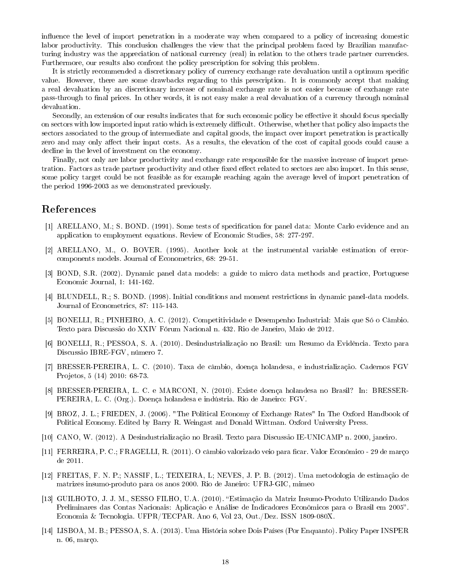influence the level of import penetration in a moderate way when compared to a policy of increasing domestic labor productivity. This conclusion challenges the view that the principal problem faced by Brazilian manufacturing industry was the appreciation of national currency (real) in relation to the others trade partner currencies. Furthermore, our results also confront the policy prescription for solving this problem.

It is strictly recommended a discretionary policy of currency exchange rate devaluation until a optimum specific value. However, there are some drawbacks regarding to this prescription. It is commonly accept that making a real devaluation by an discretionary increase of nominal exchange rate is not easier because of exchange rate pass-through to nal prices. In other words, it is not easy make a real devaluation of a currency through nominal devaluation.

Secondly, an extension of our results indicates that for such economic policy be effective it should focus specially on sectors with low imported input ratio which is extremely difficult. Otherwise, whether that policy also impacts the sectors associated to the group of intermediate and capital goods, the impact over import penetration is practically zero and may only affect their input costs. As a results, the elevation of the cost of capital goods could cause a decline in the level of investment on the economy.

Finally, not only are labor productivity and exchange rate responsible for the massive increase of import penetration. Factors as trade partner productivity and other fixed effect related to sectors are also import. In this sense, some policy target could be not feasible as for example reaching again the average level of import penetration of the period 1996-2003 as we demonstrated previously.

#### References

- [1] ARELLANO, M.; S. BOND. (1991). Some tests of specification for panel data: Monte Carlo evidence and an application to employment equations. Review of Economic Studies, 58: 277-297.
- [2] ARELLANO, M., O. BOVER. (1995). Another look at the instrumental variable estimation of errorcomponents models. Journal of Econometrics, 68: 29-51.
- [3] BOND, S.R. (2002). Dynamic panel data models: a guide to micro data methods and practice, Portuguese Economic Journal, 1: 141-162.
- [4] BLUNDELL, R.; S. BOND. (1998). Initial conditions and moment restrictions in dynamic panel-data models. Journal of Econometrics, 87: 115-143.
- [5] BONELLI, R.; PINHEIRO, A. C. (2012). Competitividade e Desempenho Industrial: Mais que Só o Câmbio. Texto para Discussão do XXIV Fórum Nacional n. 432. Rio de Janeiro, Maio de 2012.
- [6] BONELLI, R.; PESSOA, S. A. (2010). Desindustrialização no Brasil: um Resumo da Evidência. Texto para Discussão IBRE-FGV, número 7.
- [7] BRESSER-PEREIRA, L. C. (2010). Taxa de câmbio, doença holandesa, e industrialização. Cadernos FGV Projetos, 5 (14) 2010: 68-73.
- [8] BRESSER-PEREIRA, L. C. e MARCONI, N. (2010). Existe doença holandesa no Brasil? In: BRESSER-PEREIRA, L. C. (Org.). Doença holandesa e indústria. Rio de Janeiro: FGV.
- [9] BROZ, J. L.; FRIEDEN, J. (2006). "The Political Economy of Exchange Rates" In The Oxford Handbook of Political Economy. Edited by Barry R. Weingast and Donald Wittman. Oxford University Press.
- [10] CANO, W. (2012). A Desindustrialização no Brasil. Texto para Discussão IE-UNICAMP n. 2000, janeiro.
- [11] FERREIRA, P. C.; FRAGELLI, R. (2011). O câmbio valorizado veio para car. Valor Econômico 29 de março de 2011.
- [12] FREITAS, F. N. P.; NASSIF, L.; TEIXEIRA, L; NEVES, J. P. B. (2012). Uma metodologia de estimação de matrizes insumo-produto para os anos 2000. Rio de Janeiro: UFRJ-GIC, mimeo
- [13] GUILHOTO, J. J. M., SESSO FILHO, U.A. (2010). Estimação da Matriz Insumo-Produto Utilizando Dados Preliminares das Contas Nacionais: Aplicação e Análise de Indicadores Econômicos para o Brasil em 2005. Economia & Tecnologia. UFPR/TECPAR. Ano 6, Vol 23, Out./Dez. ISSN 1809-080X.
- [14] LISBOA, M. B.; PESSOA, S. A. (2013). Uma História sobre Dois Países (Por Enquanto). Policy Paper INSPER n. 06, março.